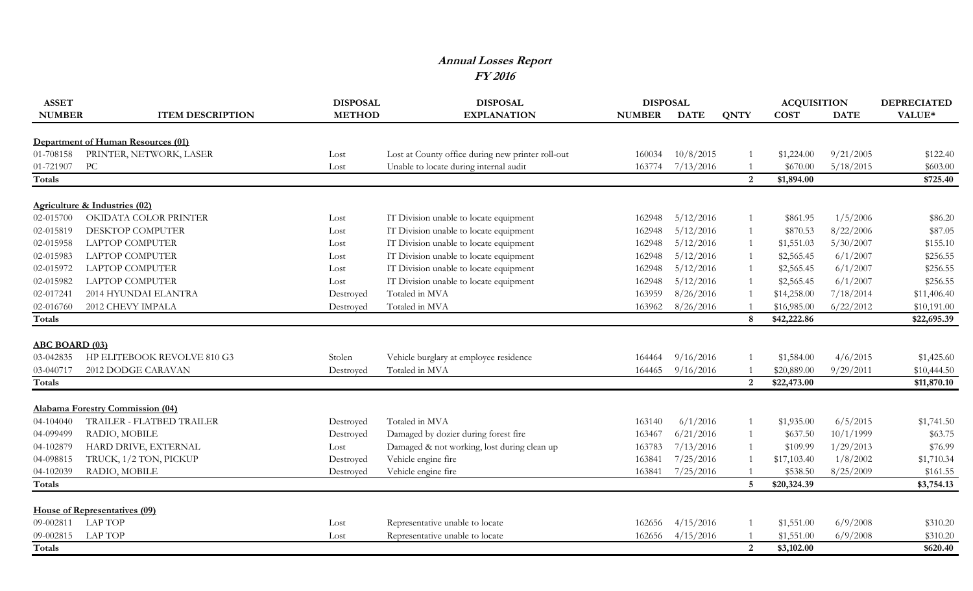## **Annual Losses Report FY 2016**

| <b>NUMBER</b><br><b>METHOD</b><br><b>EXPLANATION</b><br><b>COST</b><br>VALUE*<br><b>ITEM DESCRIPTION</b><br><b>NUMBER</b><br><b>DATE</b><br><b>QNTY</b><br><b>DATE</b><br>Department of Human Resources (01)<br>PRINTER, NETWORK, LASER<br>Lost at County office during new printer roll-out<br>160034<br>10/8/2015<br>9/21/2005<br>\$122.40<br>\$1,224.00<br>Lost<br>PC<br>Unable to locate during internal audit<br>5/18/2015<br>7/13/2016<br>\$670.00<br>\$603.00<br>163774<br>Lost<br>2<br><b>Totals</b><br>\$725.40<br>\$1,894.00<br>Agriculture & Industries (02)<br>1/5/2006<br>OKIDATA COLOR PRINTER<br>IT Division unable to locate equipment<br>5/12/2016<br>\$86.20<br>162948<br>\$861.95<br>Lost<br>IT Division unable to locate equipment<br>5/12/2016<br>8/22/2006<br>\$87.05<br>DESKTOP COMPUTER<br>162948<br>\$870.53<br>Lost<br>IT Division unable to locate equipment<br>5/12/2016<br>5/30/2007<br><b>LAPTOP COMPUTER</b><br>\$155.10<br>162948<br>\$1,551.03<br>Lost<br>IT Division unable to locate equipment<br>6/1/2007<br>LAPTOP COMPUTER<br>5/12/2016<br>\$256.55<br>162948<br>\$2,565.45<br>Lost<br>IT Division unable to locate equipment<br>6/1/2007<br>LAPTOP COMPUTER<br>5/12/2016<br>\$2,565.45<br>\$256.55<br>162948<br>Lost<br>IT Division unable to locate equipment<br>6/1/2007<br>\$256.55<br><b>LAPTOP COMPUTER</b><br>5/12/2016<br>\$2,565.45<br>162948<br>Lost<br>Totaled in MVA<br>2014 HYUNDAI ELANTRA<br>163959<br>8/26/2016<br>\$14,258.00<br>7/18/2014<br>\$11,406.40<br>Destroyed<br>02-016760<br>2012 CHEVY IMPALA<br>Totaled in MVA<br>\$16,985.00<br>6/22/2012<br>Destroyed<br>163962<br>8/26/2016<br>\$10,191.00<br>\$42,222.86<br>Totals<br>8<br>\$22,695.39<br><b>ABC BOARD (03)</b><br>HP ELITEBOOK REVOLVE 810 G3<br>Vehicle burglary at employee residence<br>9/16/2016<br>4/6/2015<br>\$1,425.60<br>Stolen<br>164464<br>\$1,584.00<br>03-040717<br>Totaled in MVA<br>2012 DODGE CARAVAN<br>9/16/2016<br>\$20,889.00<br>9/29/2011<br>\$10,444.50<br>Destroyed<br>164465<br>2<br>\$22,473.00<br>\$11,870.10<br>Totals<br><b>Alabama Forestry Commission (04)</b><br>04-104040<br>TRAILER - FLATBED TRAILER<br>Totaled in MVA<br>6/1/2016<br>6/5/2015<br>Destroyed<br>163140<br>\$1,935.00<br>\$1,741.50<br>10/1/1999<br>RADIO, MOBILE<br>Damaged by dozier during forest fire<br>6/21/2016<br>\$637.50<br>\$63.75<br>04-099499<br>Destroyed<br>163467<br>HARD DRIVE, EXTERNAL<br>Damaged & not working, lost during clean up<br>7/13/2016<br>1/29/2013<br>\$76.99<br>04-102879<br>163783<br>\$109.99<br>Lost<br>1/8/2002<br>04-098815<br>TRUCK, 1/2 TON, PICKUP<br>Vehicle engine fire<br>7/25/2016<br>\$1,710.34<br>163841<br>\$17,103.40<br>Destroyed<br>04-102039<br>RADIO, MOBILE<br>Vehicle engine fire<br>7/25/2016<br>8/25/2009<br>163841<br>\$538.50<br>\$161.55<br>Destroyed<br>Totals<br>$5^{\circ}$<br>\$20,324.39<br>\$3,754.13<br>House of Representatives (09)<br><b>LAP TOP</b><br>09-002811<br>Representative unable to locate<br>4/15/2016<br>6/9/2008<br>162656<br>\$1,551.00<br>\$310.20<br>Lost<br>6/9/2008<br>09-002815<br><b>LAP TOP</b><br>Representative unable to locate<br>4/15/2016<br>\$1,551.00<br>\$310.20<br>162656<br>Lost<br>$\overline{2}$<br><b>Totals</b><br>\$3,102.00<br>\$620.40 | <b>ASSET</b> | <b>DISPOSAL</b> | <b>DISPOSAL</b> | <b>DISPOSAL</b> |  | <b>ACQUISITION</b> | <b>DEPRECIATED</b> |
|-----------------------------------------------------------------------------------------------------------------------------------------------------------------------------------------------------------------------------------------------------------------------------------------------------------------------------------------------------------------------------------------------------------------------------------------------------------------------------------------------------------------------------------------------------------------------------------------------------------------------------------------------------------------------------------------------------------------------------------------------------------------------------------------------------------------------------------------------------------------------------------------------------------------------------------------------------------------------------------------------------------------------------------------------------------------------------------------------------------------------------------------------------------------------------------------------------------------------------------------------------------------------------------------------------------------------------------------------------------------------------------------------------------------------------------------------------------------------------------------------------------------------------------------------------------------------------------------------------------------------------------------------------------------------------------------------------------------------------------------------------------------------------------------------------------------------------------------------------------------------------------------------------------------------------------------------------------------------------------------------------------------------------------------------------------------------------------------------------------------------------------------------------------------------------------------------------------------------------------------------------------------------------------------------------------------------------------------------------------------------------------------------------------------------------------------------------------------------------------------------------------------------------------------------------------------------------------------------------------------------------------------------------------------------------------------------------------------------------------------------------------------------------------------------------------------------------------------------------------------------------------------------------------------------------------------------------------------------------------------------------------------------------------------------------------------------------------------------------------------------------------------------------------------------------------------------------------------------------------------------------------------------------|--------------|-----------------|-----------------|-----------------|--|--------------------|--------------------|
|                                                                                                                                                                                                                                                                                                                                                                                                                                                                                                                                                                                                                                                                                                                                                                                                                                                                                                                                                                                                                                                                                                                                                                                                                                                                                                                                                                                                                                                                                                                                                                                                                                                                                                                                                                                                                                                                                                                                                                                                                                                                                                                                                                                                                                                                                                                                                                                                                                                                                                                                                                                                                                                                                                                                                                                                                                                                                                                                                                                                                                                                                                                                                                                                                                                                             |              |                 |                 |                 |  |                    |                    |
|                                                                                                                                                                                                                                                                                                                                                                                                                                                                                                                                                                                                                                                                                                                                                                                                                                                                                                                                                                                                                                                                                                                                                                                                                                                                                                                                                                                                                                                                                                                                                                                                                                                                                                                                                                                                                                                                                                                                                                                                                                                                                                                                                                                                                                                                                                                                                                                                                                                                                                                                                                                                                                                                                                                                                                                                                                                                                                                                                                                                                                                                                                                                                                                                                                                                             |              |                 |                 |                 |  |                    |                    |
|                                                                                                                                                                                                                                                                                                                                                                                                                                                                                                                                                                                                                                                                                                                                                                                                                                                                                                                                                                                                                                                                                                                                                                                                                                                                                                                                                                                                                                                                                                                                                                                                                                                                                                                                                                                                                                                                                                                                                                                                                                                                                                                                                                                                                                                                                                                                                                                                                                                                                                                                                                                                                                                                                                                                                                                                                                                                                                                                                                                                                                                                                                                                                                                                                                                                             | 01-708158    |                 |                 |                 |  |                    |                    |
|                                                                                                                                                                                                                                                                                                                                                                                                                                                                                                                                                                                                                                                                                                                                                                                                                                                                                                                                                                                                                                                                                                                                                                                                                                                                                                                                                                                                                                                                                                                                                                                                                                                                                                                                                                                                                                                                                                                                                                                                                                                                                                                                                                                                                                                                                                                                                                                                                                                                                                                                                                                                                                                                                                                                                                                                                                                                                                                                                                                                                                                                                                                                                                                                                                                                             | 01-721907    |                 |                 |                 |  |                    |                    |
|                                                                                                                                                                                                                                                                                                                                                                                                                                                                                                                                                                                                                                                                                                                                                                                                                                                                                                                                                                                                                                                                                                                                                                                                                                                                                                                                                                                                                                                                                                                                                                                                                                                                                                                                                                                                                                                                                                                                                                                                                                                                                                                                                                                                                                                                                                                                                                                                                                                                                                                                                                                                                                                                                                                                                                                                                                                                                                                                                                                                                                                                                                                                                                                                                                                                             |              |                 |                 |                 |  |                    |                    |
|                                                                                                                                                                                                                                                                                                                                                                                                                                                                                                                                                                                                                                                                                                                                                                                                                                                                                                                                                                                                                                                                                                                                                                                                                                                                                                                                                                                                                                                                                                                                                                                                                                                                                                                                                                                                                                                                                                                                                                                                                                                                                                                                                                                                                                                                                                                                                                                                                                                                                                                                                                                                                                                                                                                                                                                                                                                                                                                                                                                                                                                                                                                                                                                                                                                                             |              |                 |                 |                 |  |                    |                    |
|                                                                                                                                                                                                                                                                                                                                                                                                                                                                                                                                                                                                                                                                                                                                                                                                                                                                                                                                                                                                                                                                                                                                                                                                                                                                                                                                                                                                                                                                                                                                                                                                                                                                                                                                                                                                                                                                                                                                                                                                                                                                                                                                                                                                                                                                                                                                                                                                                                                                                                                                                                                                                                                                                                                                                                                                                                                                                                                                                                                                                                                                                                                                                                                                                                                                             | 02-015700    |                 |                 |                 |  |                    |                    |
|                                                                                                                                                                                                                                                                                                                                                                                                                                                                                                                                                                                                                                                                                                                                                                                                                                                                                                                                                                                                                                                                                                                                                                                                                                                                                                                                                                                                                                                                                                                                                                                                                                                                                                                                                                                                                                                                                                                                                                                                                                                                                                                                                                                                                                                                                                                                                                                                                                                                                                                                                                                                                                                                                                                                                                                                                                                                                                                                                                                                                                                                                                                                                                                                                                                                             | 02-015819    |                 |                 |                 |  |                    |                    |
|                                                                                                                                                                                                                                                                                                                                                                                                                                                                                                                                                                                                                                                                                                                                                                                                                                                                                                                                                                                                                                                                                                                                                                                                                                                                                                                                                                                                                                                                                                                                                                                                                                                                                                                                                                                                                                                                                                                                                                                                                                                                                                                                                                                                                                                                                                                                                                                                                                                                                                                                                                                                                                                                                                                                                                                                                                                                                                                                                                                                                                                                                                                                                                                                                                                                             | 02-015958    |                 |                 |                 |  |                    |                    |
|                                                                                                                                                                                                                                                                                                                                                                                                                                                                                                                                                                                                                                                                                                                                                                                                                                                                                                                                                                                                                                                                                                                                                                                                                                                                                                                                                                                                                                                                                                                                                                                                                                                                                                                                                                                                                                                                                                                                                                                                                                                                                                                                                                                                                                                                                                                                                                                                                                                                                                                                                                                                                                                                                                                                                                                                                                                                                                                                                                                                                                                                                                                                                                                                                                                                             | 02-015983    |                 |                 |                 |  |                    |                    |
|                                                                                                                                                                                                                                                                                                                                                                                                                                                                                                                                                                                                                                                                                                                                                                                                                                                                                                                                                                                                                                                                                                                                                                                                                                                                                                                                                                                                                                                                                                                                                                                                                                                                                                                                                                                                                                                                                                                                                                                                                                                                                                                                                                                                                                                                                                                                                                                                                                                                                                                                                                                                                                                                                                                                                                                                                                                                                                                                                                                                                                                                                                                                                                                                                                                                             | 02-015972    |                 |                 |                 |  |                    |                    |
|                                                                                                                                                                                                                                                                                                                                                                                                                                                                                                                                                                                                                                                                                                                                                                                                                                                                                                                                                                                                                                                                                                                                                                                                                                                                                                                                                                                                                                                                                                                                                                                                                                                                                                                                                                                                                                                                                                                                                                                                                                                                                                                                                                                                                                                                                                                                                                                                                                                                                                                                                                                                                                                                                                                                                                                                                                                                                                                                                                                                                                                                                                                                                                                                                                                                             | 02-015982    |                 |                 |                 |  |                    |                    |
|                                                                                                                                                                                                                                                                                                                                                                                                                                                                                                                                                                                                                                                                                                                                                                                                                                                                                                                                                                                                                                                                                                                                                                                                                                                                                                                                                                                                                                                                                                                                                                                                                                                                                                                                                                                                                                                                                                                                                                                                                                                                                                                                                                                                                                                                                                                                                                                                                                                                                                                                                                                                                                                                                                                                                                                                                                                                                                                                                                                                                                                                                                                                                                                                                                                                             | 02-017241    |                 |                 |                 |  |                    |                    |
|                                                                                                                                                                                                                                                                                                                                                                                                                                                                                                                                                                                                                                                                                                                                                                                                                                                                                                                                                                                                                                                                                                                                                                                                                                                                                                                                                                                                                                                                                                                                                                                                                                                                                                                                                                                                                                                                                                                                                                                                                                                                                                                                                                                                                                                                                                                                                                                                                                                                                                                                                                                                                                                                                                                                                                                                                                                                                                                                                                                                                                                                                                                                                                                                                                                                             |              |                 |                 |                 |  |                    |                    |
|                                                                                                                                                                                                                                                                                                                                                                                                                                                                                                                                                                                                                                                                                                                                                                                                                                                                                                                                                                                                                                                                                                                                                                                                                                                                                                                                                                                                                                                                                                                                                                                                                                                                                                                                                                                                                                                                                                                                                                                                                                                                                                                                                                                                                                                                                                                                                                                                                                                                                                                                                                                                                                                                                                                                                                                                                                                                                                                                                                                                                                                                                                                                                                                                                                                                             |              |                 |                 |                 |  |                    |                    |
|                                                                                                                                                                                                                                                                                                                                                                                                                                                                                                                                                                                                                                                                                                                                                                                                                                                                                                                                                                                                                                                                                                                                                                                                                                                                                                                                                                                                                                                                                                                                                                                                                                                                                                                                                                                                                                                                                                                                                                                                                                                                                                                                                                                                                                                                                                                                                                                                                                                                                                                                                                                                                                                                                                                                                                                                                                                                                                                                                                                                                                                                                                                                                                                                                                                                             |              |                 |                 |                 |  |                    |                    |
|                                                                                                                                                                                                                                                                                                                                                                                                                                                                                                                                                                                                                                                                                                                                                                                                                                                                                                                                                                                                                                                                                                                                                                                                                                                                                                                                                                                                                                                                                                                                                                                                                                                                                                                                                                                                                                                                                                                                                                                                                                                                                                                                                                                                                                                                                                                                                                                                                                                                                                                                                                                                                                                                                                                                                                                                                                                                                                                                                                                                                                                                                                                                                                                                                                                                             |              |                 |                 |                 |  |                    |                    |
|                                                                                                                                                                                                                                                                                                                                                                                                                                                                                                                                                                                                                                                                                                                                                                                                                                                                                                                                                                                                                                                                                                                                                                                                                                                                                                                                                                                                                                                                                                                                                                                                                                                                                                                                                                                                                                                                                                                                                                                                                                                                                                                                                                                                                                                                                                                                                                                                                                                                                                                                                                                                                                                                                                                                                                                                                                                                                                                                                                                                                                                                                                                                                                                                                                                                             | 03-042835    |                 |                 |                 |  |                    |                    |
|                                                                                                                                                                                                                                                                                                                                                                                                                                                                                                                                                                                                                                                                                                                                                                                                                                                                                                                                                                                                                                                                                                                                                                                                                                                                                                                                                                                                                                                                                                                                                                                                                                                                                                                                                                                                                                                                                                                                                                                                                                                                                                                                                                                                                                                                                                                                                                                                                                                                                                                                                                                                                                                                                                                                                                                                                                                                                                                                                                                                                                                                                                                                                                                                                                                                             |              |                 |                 |                 |  |                    |                    |
|                                                                                                                                                                                                                                                                                                                                                                                                                                                                                                                                                                                                                                                                                                                                                                                                                                                                                                                                                                                                                                                                                                                                                                                                                                                                                                                                                                                                                                                                                                                                                                                                                                                                                                                                                                                                                                                                                                                                                                                                                                                                                                                                                                                                                                                                                                                                                                                                                                                                                                                                                                                                                                                                                                                                                                                                                                                                                                                                                                                                                                                                                                                                                                                                                                                                             |              |                 |                 |                 |  |                    |                    |
|                                                                                                                                                                                                                                                                                                                                                                                                                                                                                                                                                                                                                                                                                                                                                                                                                                                                                                                                                                                                                                                                                                                                                                                                                                                                                                                                                                                                                                                                                                                                                                                                                                                                                                                                                                                                                                                                                                                                                                                                                                                                                                                                                                                                                                                                                                                                                                                                                                                                                                                                                                                                                                                                                                                                                                                                                                                                                                                                                                                                                                                                                                                                                                                                                                                                             |              |                 |                 |                 |  |                    |                    |
|                                                                                                                                                                                                                                                                                                                                                                                                                                                                                                                                                                                                                                                                                                                                                                                                                                                                                                                                                                                                                                                                                                                                                                                                                                                                                                                                                                                                                                                                                                                                                                                                                                                                                                                                                                                                                                                                                                                                                                                                                                                                                                                                                                                                                                                                                                                                                                                                                                                                                                                                                                                                                                                                                                                                                                                                                                                                                                                                                                                                                                                                                                                                                                                                                                                                             |              |                 |                 |                 |  |                    |                    |
|                                                                                                                                                                                                                                                                                                                                                                                                                                                                                                                                                                                                                                                                                                                                                                                                                                                                                                                                                                                                                                                                                                                                                                                                                                                                                                                                                                                                                                                                                                                                                                                                                                                                                                                                                                                                                                                                                                                                                                                                                                                                                                                                                                                                                                                                                                                                                                                                                                                                                                                                                                                                                                                                                                                                                                                                                                                                                                                                                                                                                                                                                                                                                                                                                                                                             |              |                 |                 |                 |  |                    |                    |
|                                                                                                                                                                                                                                                                                                                                                                                                                                                                                                                                                                                                                                                                                                                                                                                                                                                                                                                                                                                                                                                                                                                                                                                                                                                                                                                                                                                                                                                                                                                                                                                                                                                                                                                                                                                                                                                                                                                                                                                                                                                                                                                                                                                                                                                                                                                                                                                                                                                                                                                                                                                                                                                                                                                                                                                                                                                                                                                                                                                                                                                                                                                                                                                                                                                                             |              |                 |                 |                 |  |                    |                    |
|                                                                                                                                                                                                                                                                                                                                                                                                                                                                                                                                                                                                                                                                                                                                                                                                                                                                                                                                                                                                                                                                                                                                                                                                                                                                                                                                                                                                                                                                                                                                                                                                                                                                                                                                                                                                                                                                                                                                                                                                                                                                                                                                                                                                                                                                                                                                                                                                                                                                                                                                                                                                                                                                                                                                                                                                                                                                                                                                                                                                                                                                                                                                                                                                                                                                             |              |                 |                 |                 |  |                    |                    |
|                                                                                                                                                                                                                                                                                                                                                                                                                                                                                                                                                                                                                                                                                                                                                                                                                                                                                                                                                                                                                                                                                                                                                                                                                                                                                                                                                                                                                                                                                                                                                                                                                                                                                                                                                                                                                                                                                                                                                                                                                                                                                                                                                                                                                                                                                                                                                                                                                                                                                                                                                                                                                                                                                                                                                                                                                                                                                                                                                                                                                                                                                                                                                                                                                                                                             |              |                 |                 |                 |  |                    |                    |
|                                                                                                                                                                                                                                                                                                                                                                                                                                                                                                                                                                                                                                                                                                                                                                                                                                                                                                                                                                                                                                                                                                                                                                                                                                                                                                                                                                                                                                                                                                                                                                                                                                                                                                                                                                                                                                                                                                                                                                                                                                                                                                                                                                                                                                                                                                                                                                                                                                                                                                                                                                                                                                                                                                                                                                                                                                                                                                                                                                                                                                                                                                                                                                                                                                                                             |              |                 |                 |                 |  |                    |                    |
|                                                                                                                                                                                                                                                                                                                                                                                                                                                                                                                                                                                                                                                                                                                                                                                                                                                                                                                                                                                                                                                                                                                                                                                                                                                                                                                                                                                                                                                                                                                                                                                                                                                                                                                                                                                                                                                                                                                                                                                                                                                                                                                                                                                                                                                                                                                                                                                                                                                                                                                                                                                                                                                                                                                                                                                                                                                                                                                                                                                                                                                                                                                                                                                                                                                                             |              |                 |                 |                 |  |                    |                    |
|                                                                                                                                                                                                                                                                                                                                                                                                                                                                                                                                                                                                                                                                                                                                                                                                                                                                                                                                                                                                                                                                                                                                                                                                                                                                                                                                                                                                                                                                                                                                                                                                                                                                                                                                                                                                                                                                                                                                                                                                                                                                                                                                                                                                                                                                                                                                                                                                                                                                                                                                                                                                                                                                                                                                                                                                                                                                                                                                                                                                                                                                                                                                                                                                                                                                             |              |                 |                 |                 |  |                    |                    |
|                                                                                                                                                                                                                                                                                                                                                                                                                                                                                                                                                                                                                                                                                                                                                                                                                                                                                                                                                                                                                                                                                                                                                                                                                                                                                                                                                                                                                                                                                                                                                                                                                                                                                                                                                                                                                                                                                                                                                                                                                                                                                                                                                                                                                                                                                                                                                                                                                                                                                                                                                                                                                                                                                                                                                                                                                                                                                                                                                                                                                                                                                                                                                                                                                                                                             |              |                 |                 |                 |  |                    |                    |
|                                                                                                                                                                                                                                                                                                                                                                                                                                                                                                                                                                                                                                                                                                                                                                                                                                                                                                                                                                                                                                                                                                                                                                                                                                                                                                                                                                                                                                                                                                                                                                                                                                                                                                                                                                                                                                                                                                                                                                                                                                                                                                                                                                                                                                                                                                                                                                                                                                                                                                                                                                                                                                                                                                                                                                                                                                                                                                                                                                                                                                                                                                                                                                                                                                                                             |              |                 |                 |                 |  |                    |                    |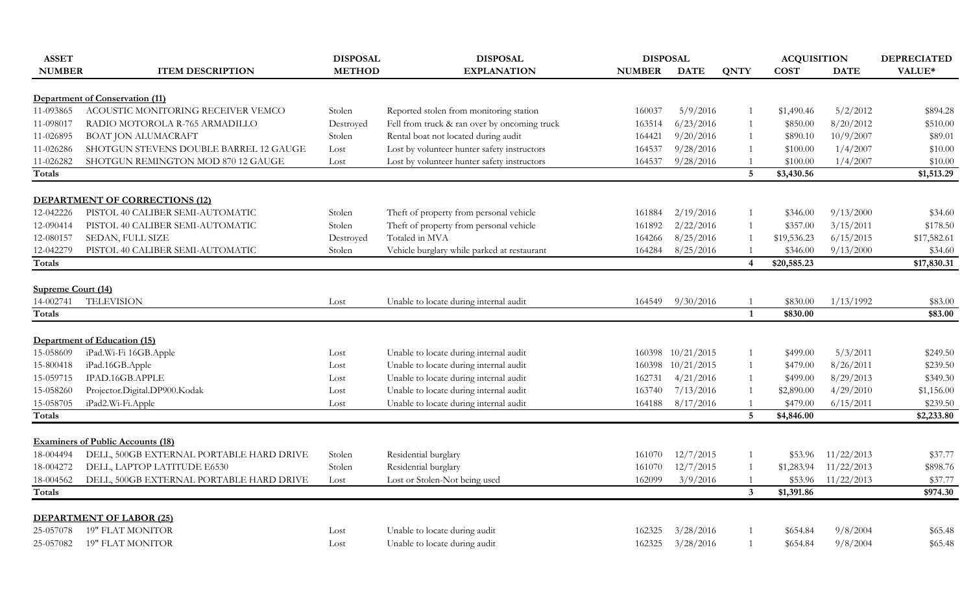| <b>ASSET</b>       |                                          | <b>DISPOSAL</b> | <b>DISPOSAL</b>                              | <b>DISPOSAL</b> |                   |                | <b>ACQUISITION</b> |             | <b>DEPRECIATED</b> |
|--------------------|------------------------------------------|-----------------|----------------------------------------------|-----------------|-------------------|----------------|--------------------|-------------|--------------------|
| <b>NUMBER</b>      | <b>ITEM DESCRIPTION</b>                  | <b>METHOD</b>   | <b>EXPLANATION</b>                           | <b>NUMBER</b>   | <b>DATE</b>       | <b>QNTY</b>    | <b>COST</b>        | <b>DATE</b> | VALUE*             |
|                    | Department of Conservation (11)          |                 |                                              |                 |                   |                |                    |             |                    |
| 11-093865          | ACOUSTIC MONITORING RECEIVER VEMCO       | Stolen          | Reported stolen from monitoring station      | 160037          | 5/9/2016          |                | \$1,490.46         | 5/2/2012    | \$894.28           |
| 11-098017          | RADIO MOTOROLA R-765 ARMADILLO           | Destroyed       | Fell from truck & ran over by oncoming truck | 163514          | 6/23/2016         |                | \$850.00           | 8/20/2012   | \$510.00           |
| 11-026895          | <b>BOAT JON ALUMACRAFT</b>               | Stolen          | Rental boat not located during audit         | 164421          | 9/20/2016         |                | \$890.10           | 10/9/2007   | \$89.01            |
| 11-026286          | SHOTGUN STEVENS DOUBLE BARREL 12 GAUGE   | Lost            | Lost by volunteer hunter safety instructors  | 164537          | 9/28/2016         |                | \$100.00           | 1/4/2007    | \$10.00            |
| 11-026282          | SHOTGUN REMINGTON MOD 870 12 GAUGE       | Lost            | Lost by volunteer hunter safety instructors  | 164537          | 9/28/2016         |                | \$100.00           | 1/4/2007    | \$10.00            |
| Totals             |                                          |                 |                                              |                 |                   | 5              | \$3,430.56         |             | \$1,513.29         |
|                    | DEPARTMENT OF CORRECTIONS (12)           |                 |                                              |                 |                   |                |                    |             |                    |
| 12-042226          | PISTOL 40 CALIBER SEMI-AUTOMATIC         | Stolen          | Theft of property from personal vehicle      | 161884          | 2/19/2016         |                | \$346.00           | 9/13/2000   | \$34.60            |
| 12-090414          | PISTOL 40 CALIBER SEMI-AUTOMATIC         | Stolen          | Theft of property from personal vehicle      | 161892          | 2/22/2016         | -1             | \$357.00           | 3/15/2011   | \$178.50           |
| 12-080157          | SEDAN, FULL SIZE                         | Destroyed       | Totaled in MVA                               | 164266          | 8/25/2016         |                | \$19,536.23        | 6/15/2015   | \$17,582.61        |
| 12-042279          | PISTOL 40 CALIBER SEMI-AUTOMATIC         | Stolen          | Vehicle burglary while parked at restaurant  | 164284          | 8/25/2016         |                | \$346.00           | 9/13/2000   | \$34.60            |
| <b>Totals</b>      |                                          |                 |                                              |                 |                   | $\overline{4}$ | \$20,585.23        |             | \$17,830.31        |
|                    |                                          |                 |                                              |                 |                   |                |                    |             |                    |
| Supreme Court (14) |                                          |                 |                                              |                 |                   |                |                    |             |                    |
| 14-002741          | <b>TELEVISION</b>                        | Lost            | Unable to locate during internal audit       | 164549          | 9/30/2016         |                | \$830.00           | 1/13/1992   | \$83.00            |
| Totals             |                                          |                 |                                              |                 |                   | $\mathbf{1}$   | \$830.00           |             | \$83.00            |
|                    |                                          |                 |                                              |                 |                   |                |                    |             |                    |
|                    | Department of Education (15)             |                 |                                              |                 |                   |                |                    |             |                    |
| 15-058609          | iPad.Wi-Fi 16GB.Apple                    | Lost            | Unable to locate during internal audit       |                 | 160398 10/21/2015 |                | \$499.00           | 5/3/2011    | \$249.50           |
| 15-800418          | iPad.16GB.Apple                          | Lost            | Unable to locate during internal audit       |                 | 160398 10/21/2015 |                | \$479.00           | 8/26/2011   | \$239.50           |
| 15-059715          | IPAD.16GB.APPLE                          | Lost            | Unable to locate during internal audit       | 162731          | 4/21/2016         |                | \$499.00           | 8/29/2013   | \$349.30           |
| 15-058260          | Projector.Digital.DP900.Kodak            | Lost            | Unable to locate during internal audit       | 163740          | 7/13/2016         |                | \$2,890.00         | 4/29/2010   | \$1,156.00         |
| 15-058705          | iPad2.Wi-Fi.Apple                        | Lost            | Unable to locate during internal audit       | 164188          | 8/17/2016         |                | \$479.00           | 6/15/2011   | \$239.50           |
| Totals             |                                          |                 |                                              |                 |                   | 5              | \$4,846.00         |             | \$2,233.80         |
|                    | <b>Examiners of Public Accounts (18)</b> |                 |                                              |                 |                   |                |                    |             |                    |
| 18-004494          | DELL, 500GB EXTERNAL PORTABLE HARD DRIVE | Stolen          | Residential burglary                         | 161070          | 12/7/2015         |                | \$53.96            | 11/22/2013  | \$37.77            |
| 18-004272          | DELL, LAPTOP LATITUDE E6530              | Stolen          | Residential burglary                         | 161070          | 12/7/2015         |                | \$1,283.94         | 11/22/2013  | \$898.76           |
| 18-004562          | DELL, 500GB EXTERNAL PORTABLE HARD DRIVE | Lost            | Lost or Stolen-Not being used                | 162099          | 3/9/2016          |                | \$53.96            | 11/22/2013  | \$37.77            |
| Totals             |                                          |                 |                                              |                 |                   | $\mathbf{3}$   | \$1,391.86         |             | \$974.30           |
|                    | DEPARTMENT OF LABOR (25)                 |                 |                                              |                 |                   |                |                    |             |                    |
| 25-057078          | <b>19" FLAT MONITOR</b>                  | Lost            | Unable to locate during audit                | 162325          | 3/28/2016         |                | \$654.84           | 9/8/2004    | \$65.48            |
| 25-057082          | <b>19" FLAT MONITOR</b>                  | Lost            | Unable to locate during audit                | 162325          | 3/28/2016         |                | \$654.84           | 9/8/2004    | \$65.48            |
|                    |                                          |                 |                                              |                 |                   |                |                    |             |                    |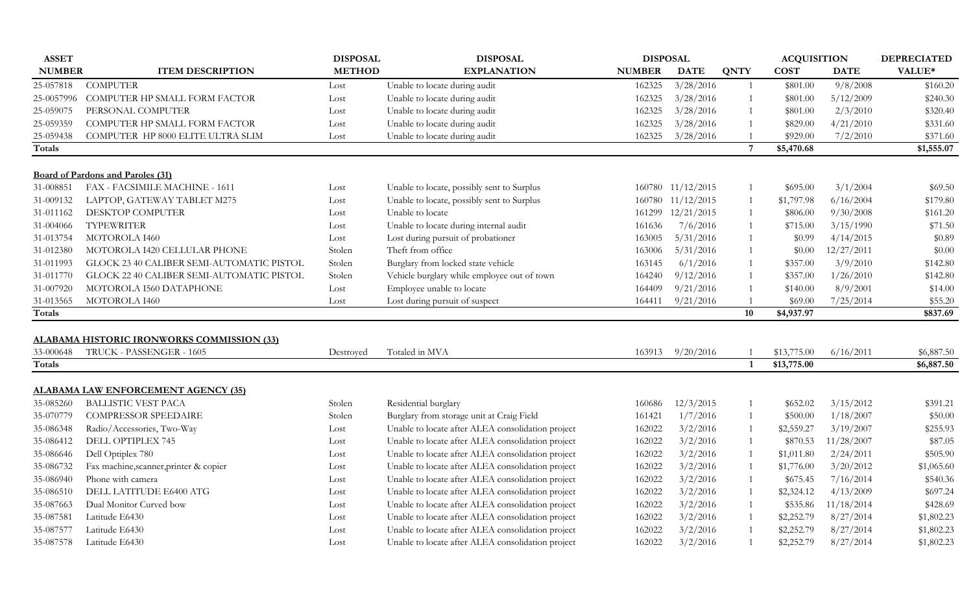| <b>ASSET</b>  |                                                   | <b>DISPOSAL</b> | <b>DISPOSAL</b>                                   | <b>DISPOSAL</b> |                   |                | <b>ACQUISITION</b> |             | <b>DEPRECIATED</b> |
|---------------|---------------------------------------------------|-----------------|---------------------------------------------------|-----------------|-------------------|----------------|--------------------|-------------|--------------------|
| <b>NUMBER</b> | <b>ITEM DESCRIPTION</b>                           | <b>METHOD</b>   | <b>EXPLANATION</b>                                | <b>NUMBER</b>   | <b>DATE</b>       | <b>QNTY</b>    | <b>COST</b>        | <b>DATE</b> | VALUE*             |
| 25-057818     | <b>COMPUTER</b>                                   | Lost            | Unable to locate during audit                     | 162325          | 3/28/2016         | $\mathbf{1}$   | \$801.00           | 9/8/2008    | \$160.20           |
| 25-0057996    | COMPUTER HP SMALL FORM FACTOR                     | Lost            | Unable to locate during audit                     | 162325          | 3/28/2016         | $\mathbf{1}$   | \$801.00           | 5/12/2009   | \$240.30           |
| 25-059075     | PERSONAL COMPUTER                                 | Lost            | Unable to locate during audit                     | 162325          | 3/28/2016         | $\mathbf{1}$   | \$801.00           | 2/3/2010    | \$320.40           |
| 25-059359     | COMPUTER HP SMALL FORM FACTOR                     | Lost            | Unable to locate during audit                     | 162325          | 3/28/2016         | $\mathbf{1}$   | \$829.00           | 4/21/2010   | \$331.60           |
| 25-059438     | COMPUTER HP 8000 ELITE ULTRA SLIM                 | Lost            | Unable to locate during audit                     | 162325          | 3/28/2016         |                | \$929.00           | 7/2/2010    | \$371.60           |
| Totals        |                                                   |                 |                                                   |                 |                   | $\overline{7}$ | \$5,470.68         |             | \$1,555.07         |
|               | <b>Board of Pardons and Paroles (31)</b>          |                 |                                                   |                 |                   |                |                    |             |                    |
| 31-008851     | FAX - FACSIMILE MACHINE - 1611                    | Lost            | Unable to locate, possibly sent to Surplus        |                 | 160780 11/12/2015 | $\mathbf{1}$   | \$695.00           | 3/1/2004    | \$69.50            |
| 31-009132     | LAPTOP, GATEWAY TABLET M275                       | Lost            | Unable to locate, possibly sent to Surplus        | 160780          | 11/12/2015        | $\mathbf{1}$   | \$1,797.98         | 6/16/2004   | \$179.80           |
| 31-011162     | DESKTOP COMPUTER                                  | Lost            | Unable to locate                                  | 161299          | 12/21/2015        | $\mathbf{1}$   | \$806.00           | 9/30/2008   | \$161.20           |
| 31-004066     | <b>TYPEWRITER</b>                                 | Lost            | Unable to locate during internal audit            | 161636          | 7/6/2016          | $\mathbf{1}$   | \$715.00           | 3/15/1990   | \$71.50            |
| 31-013754     | MOTOROLA I460                                     | Lost            | Lost during pursuit of probationer                | 163005          | 5/31/2016         | $\mathbf{1}$   | \$0.99             | 4/14/2015   | \$0.89             |
| 31-012380     | MOTOROLA I420 CELLULAR PHONE                      | Stolen          | Theft from office                                 | 163006          | 5/31/2016         | $\mathbf{1}$   | \$0.00             | 12/27/2011  | \$0.00             |
| 31-011993     | GLOCK 23 40 CALIBER SEMI-AUTOMATIC PISTOL         | Stolen          | Burglary from locked state vehicle                | 163145          | 6/1/2016          | $\mathbf{1}$   | \$357.00           | 3/9/2010    | \$142.80           |
| 31-011770     | GLOCK 22 40 CALIBER SEMI-AUTOMATIC PISTOL         | Stolen          | Vehicle burglary while employee out of town       | 164240          | 9/12/2016         | $\mathbf{1}$   | \$357.00           | 1/26/2010   | \$142.80           |
| 31-007920     | MOTOROLA 1560 DATAPHONE                           | Lost            | Employee unable to locate                         | 164409          | 9/21/2016         | $\mathbf{1}$   | \$140.00           | 8/9/2001    | \$14.00            |
| 31-013565     | MOTOROLA I460                                     | Lost            | Lost during pursuit of suspect                    | 164411          | 9/21/2016         | $\mathbf{1}$   | \$69.00            | 7/25/2014   | \$55.20            |
| Totals        |                                                   |                 |                                                   |                 |                   | 10             | \$4,937.97         |             | \$837.69           |
|               |                                                   |                 |                                                   |                 |                   |                |                    |             |                    |
|               | <b>ALABAMA HISTORIC IRONWORKS COMMISSION (33)</b> |                 |                                                   |                 |                   |                |                    |             |                    |
| 33-000648     | TRUCK - PASSENGER - 1605                          | Destroyed       | Totaled in MVA                                    | 163913          | 9/20/2016         | -1             | \$13,775.00        | 6/16/2011   | \$6,887.50         |
| Totals        |                                                   |                 |                                                   |                 |                   | $\mathbf{1}$   | \$13,775.00        |             | \$6,887.50         |
|               | <b>ALABAMA LAW ENFORCEMENT AGENCY (35)</b>        |                 |                                                   |                 |                   |                |                    |             |                    |
| 35-085260     | <b>BALLISTIC VEST PACA</b>                        | Stolen          | Residential burglary                              | 160686          | 12/3/2015         | 1              | \$652.02           | 3/15/2012   | \$391.21           |
| 35-070779     | <b>COMPRESSOR SPEEDAIRE</b>                       | Stolen          | Burglary from storage unit at Craig Field         | 161421          | 1/7/2016          | $\mathbf{1}$   | \$500.00           | 1/18/2007   | \$50.00            |
| 35-086348     | Radio/Accessories, Two-Way                        | Lost            | Unable to locate after ALEA consolidation project | 162022          | 3/2/2016          | $\mathbf{1}$   | \$2,559.27         | 3/19/2007   | \$255.93           |
| 35-086412     | DELL OPTIPLEX 745                                 | Lost            | Unable to locate after ALEA consolidation project | 162022          | 3/2/2016          | $\mathbf{1}$   | \$870.53           | 11/28/2007  | \$87.05            |
| 35-086646     | Dell Optiplex 780                                 | Lost            | Unable to locate after ALEA consolidation project | 162022          | 3/2/2016          | $\mathbf{1}$   | \$1,011.80         | 2/24/2011   | \$505.90           |
| 35-086732     | Fax machine, scanner, printer & copier            | Lost            | Unable to locate after ALEA consolidation project | 162022          | 3/2/2016          | $\mathbf{1}$   | \$1,776.00         | 3/20/2012   | \$1,065.60         |
| 35-086940     | Phone with camera                                 | Lost            | Unable to locate after ALEA consolidation project | 162022          | 3/2/2016          | $\mathbf{1}$   | \$675.45           | 7/16/2014   | \$540.36           |
| 35-086510     | DELL LATITUDE E6400 ATG                           | Lost            | Unable to locate after ALEA consolidation project | 162022          | 3/2/2016          | $\mathbf{1}$   | \$2,324.12         | 4/13/2009   | \$697.24           |
| 35-087663     | Dual Monitor Curved bow                           | Lost            | Unable to locate after ALEA consolidation project | 162022          | 3/2/2016          | $\mathbf{1}$   | \$535.86           | 11/18/2014  | \$428.69           |
| 35-087581     | Latitude E6430                                    | Lost            | Unable to locate after ALEA consolidation project | 162022          | 3/2/2016          | $\mathbf{1}$   | \$2,252.79         | 8/27/2014   | \$1,802.23         |
| 35-087577     | Latitude E6430                                    | Lost            | Unable to locate after ALEA consolidation project | 162022          | 3/2/2016          | 1              | \$2,252.79         | 8/27/2014   | \$1,802.23         |
| 35-087578     | Latitude E6430                                    | Lost            | Unable to locate after ALEA consolidation project | 162022          | 3/2/2016          | $\mathbf{1}$   | \$2,252.79         | 8/27/2014   | \$1,802.23         |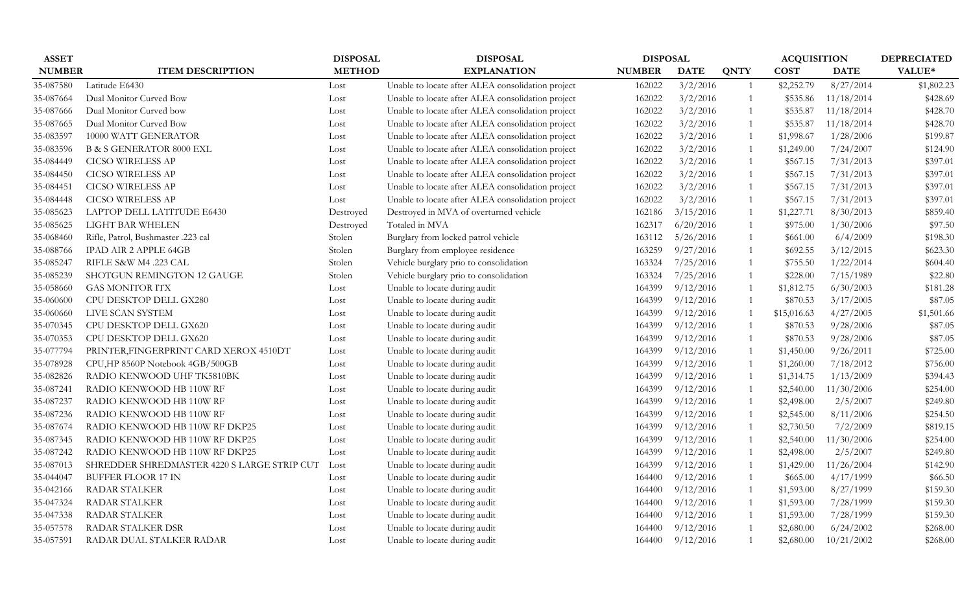| <b>ASSET</b>  |                                             | <b>DISPOSAL</b> | <b>DISPOSAL</b>                                   |               |             | <b>ACQUISITION</b> | <b>DEPRECIATED</b> |             |            |
|---------------|---------------------------------------------|-----------------|---------------------------------------------------|---------------|-------------|--------------------|--------------------|-------------|------------|
| <b>NUMBER</b> | <b>ITEM DESCRIPTION</b>                     | <b>METHOD</b>   | <b>EXPLANATION</b>                                | <b>NUMBER</b> | <b>DATE</b> | <b>QNTY</b>        | <b>COST</b>        | <b>DATE</b> | VALUE*     |
| 35-087580     | Latitude E6430                              | Lost            | Unable to locate after ALEA consolidation project | 162022        | 3/2/2016    | -1                 | \$2,252.79         | 8/27/2014   | \$1,802.23 |
| 35-087664     | Dual Monitor Curved Bow                     | Lost            | Unable to locate after ALEA consolidation project | 162022        | 3/2/2016    | 1                  | \$535.86           | 11/18/2014  | \$428.69   |
| 35-087666     | Dual Monitor Curved bow                     | Lost            | Unable to locate after ALEA consolidation project | 162022        | 3/2/2016    | 1                  | \$535.87           | 11/18/2014  | \$428.70   |
| 35-087665     | Dual Monitor Curved Bow                     | Lost            | Unable to locate after ALEA consolidation project | 162022        | 3/2/2016    | 1                  | \$535.87           | 11/18/2014  | \$428.70   |
| 35-083597     | 10000 WATT GENERATOR                        | Lost            | Unable to locate after ALEA consolidation project | 162022        | 3/2/2016    | 1                  | \$1,998.67         | 1/28/2006   | \$199.87   |
| 35-083596     | <b>B &amp; S GENERATOR 8000 EXL</b>         | Lost            | Unable to locate after ALEA consolidation project | 162022        | 3/2/2016    | -1                 | \$1,249.00         | 7/24/2007   | \$124.90   |
| 35-084449     | <b>CICSO WIRELESS AP</b>                    | Lost            | Unable to locate after ALEA consolidation project | 162022        | 3/2/2016    | 1                  | \$567.15           | 7/31/2013   | \$397.01   |
| 35-084450     | <b>CICSO WIRELESS AP</b>                    | Lost            | Unable to locate after ALEA consolidation project | 162022        | 3/2/2016    | $\mathbf{1}$       | \$567.15           | 7/31/2013   | \$397.01   |
| 35-084451     | <b>CICSO WIRELESS AP</b>                    | Lost            | Unable to locate after ALEA consolidation project | 162022        | 3/2/2016    | $\mathbf{1}$       | \$567.15           | 7/31/2013   | \$397.01   |
| 35-084448     | <b>CICSO WIRELESS AP</b>                    | Lost            | Unable to locate after ALEA consolidation project | 162022        | 3/2/2016    | $\mathbf{1}$       | \$567.15           | 7/31/2013   | \$397.01   |
| 35-085623     | LAPTOP DELL LATITUDE E6430                  | Destroyed       | Destroyed in MVA of overturned vehicle            | 162186        | 3/15/2016   | $\overline{1}$     | \$1,227.71         | 8/30/2013   | \$859.40   |
| 35-085625     | LIGHT BAR WHELEN                            | Destroyed       | Totaled in MVA                                    | 162317        | 6/20/2016   |                    | \$975.00           | 1/30/2006   | \$97.50    |
| 35-068460     | Rifle, Patrol, Bushmaster .223 cal          | Stolen          | Burglary from locked patrol vehicle               | 163112        | 5/26/2016   | -1                 | \$661.00           | 6/4/2009    | \$198.30   |
| 35-088766     | IPAD AIR 2 APPLE 64GB                       | Stolen          | Burglary from employee residence                  | 163259        | 9/27/2016   | 1                  | \$692.55           | 3/12/2015   | \$623.30   |
| 35-085247     | RIFLE S&W M4 .223 CAL                       | Stolen          | Vehicle burglary prio to consolidation            | 163324        | 7/25/2016   | $\overline{1}$     | \$755.50           | 1/22/2014   | \$604.40   |
| 35-085239     | SHOTGUN REMINGTON 12 GAUGE                  | Stolen          | Vehicle burglary prio to consolidation            | 163324        | 7/25/2016   | -1                 | \$228.00           | 7/15/1989   | \$22.80    |
| 35-058660     | <b>GAS MONITOR ITX</b>                      | Lost            | Unable to locate during audit                     | 164399        | 9/12/2016   | $\overline{1}$     | \$1,812.75         | 6/30/2003   | \$181.28   |
| 35-060600     | CPU DESKTOP DELL GX280                      | Lost            | Unable to locate during audit                     | 164399        | 9/12/2016   | $\overline{1}$     | \$870.53           | 3/17/2005   | \$87.05    |
| 35-060660     | LIVE SCAN SYSTEM                            | Lost            | Unable to locate during audit                     | 164399        | 9/12/2016   | $\overline{1}$     | \$15,016.63        | 4/27/2005   | \$1,501.66 |
| 35-070345     | <b>CPU DESKTOP DELL GX620</b>               | Lost            | Unable to locate during audit                     | 164399        | 9/12/2016   | $\mathbf{1}$       | \$870.53           | 9/28/2006   | \$87.05    |
| 35-070353     | CPU DESKTOP DELL GX620                      | Lost            | Unable to locate during audit                     | 164399        | 9/12/2016   | $\overline{1}$     | \$870.53           | 9/28/2006   | \$87.05    |
| 35-077794     | PRINTER, FINGERPRINT CARD XEROX 4510DT      | Lost            | Unable to locate during audit                     | 164399        | 9/12/2016   | 1                  | \$1,450.00         | 9/26/2011   | \$725.00   |
| 35-078928     | CPU,HP 8560P Notebook 4GB/500GB             | Lost            | Unable to locate during audit                     | 164399        | 9/12/2016   | $\overline{1}$     | \$1,260.00         | 7/18/2012   | \$756.00   |
| 35-082826     | RADIO KENWOOD UHF TK5810BK                  | Lost            | Unable to locate during audit                     | 164399        | 9/12/2016   | $\overline{1}$     | \$1,314.75         | 1/13/2009   | \$394.43   |
| 35-087241     | RADIO KENWOOD HB 110W RF                    | Lost            | Unable to locate during audit                     | 164399        | 9/12/2016   | $\overline{1}$     | \$2,540.00         | 11/30/2006  | \$254.00   |
| 35-087237     | RADIO KENWOOD HB 110W RF                    | Lost            | Unable to locate during audit                     | 164399        | 9/12/2016   | $\mathbf{1}$       | \$2,498.00         | 2/5/2007    | \$249.80   |
| 35-087236     | RADIO KENWOOD HB 110W RF                    | Lost            | Unable to locate during audit                     | 164399        | 9/12/2016   | $\overline{1}$     | \$2,545.00         | 8/11/2006   | \$254.50   |
| 35-087674     | RADIO KENWOOD HB 110W RF DKP25              | Lost            | Unable to locate during audit                     | 164399        | 9/12/2016   | $\overline{1}$     | \$2,730.50         | 7/2/2009    | \$819.15   |
| 35-087345     | RADIO KENWOOD HB 110W RF DKP25              | Lost            | Unable to locate during audit                     | 164399        | 9/12/2016   | 1                  | \$2,540.00         | 11/30/2006  | \$254.00   |
| 35-087242     | RADIO KENWOOD HB 110W RF DKP25              | Lost            | Unable to locate during audit                     | 164399        | 9/12/2016   | -1                 | \$2,498.00         | 2/5/2007    | \$249.80   |
| 35-087013     | SHREDDER SHREDMASTER 4220 S LARGE STRIP CUT | Lost            | Unable to locate during audit                     | 164399        | 9/12/2016   | 1                  | \$1,429.00         | 11/26/2004  | \$142.90   |
| 35-044047     | <b>BUFFER FLOOR 17 IN</b>                   | Lost            | Unable to locate during audit                     | 164400        | 9/12/2016   | $\mathbf{1}$       | \$665.00           | 4/17/1999   | \$66.50    |
| 35-042166     | RADAR STALKER                               | Lost            | Unable to locate during audit                     | 164400        | 9/12/2016   | $\mathbf{1}$       | \$1,593.00         | 8/27/1999   | \$159.30   |
| 35-047324     | RADAR STALKER                               | Lost            | Unable to locate during audit                     | 164400        | 9/12/2016   | $\overline{1}$     | \$1,593.00         | 7/28/1999   | \$159.30   |
| 35-047338     | <b>RADAR STALKER</b>                        | Lost            | Unable to locate during audit                     | 164400        | 9/12/2016   | $\mathbf{1}$       | \$1,593.00         | 7/28/1999   | \$159.30   |
| 35-057578     | RADAR STALKER DSR                           | Lost            | Unable to locate during audit                     | 164400        | 9/12/2016   |                    | \$2,680.00         | 6/24/2002   | \$268.00   |
| 35-057591     | RADAR DUAL STALKER RADAR                    | Lost            | Unable to locate during audit                     | 164400        | 9/12/2016   |                    | \$2,680.00         | 10/21/2002  | \$268.00   |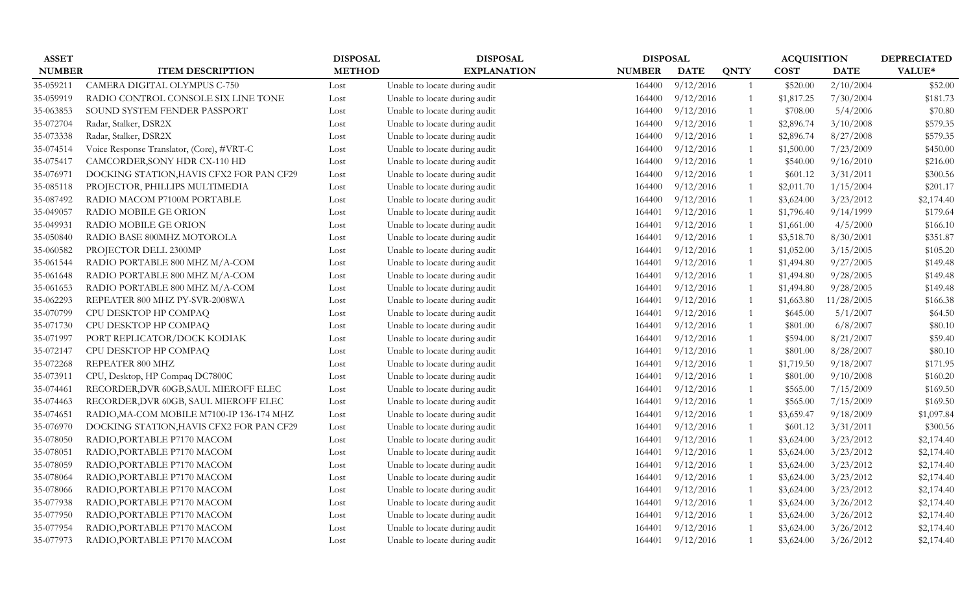| <b>ASSET</b>  |                                           | <b>DISPOSAL</b> | <b>DISPOSAL</b>               |               |             | <b>ACQUISITION</b> | <b>DEPRECIATED</b> |             |            |
|---------------|-------------------------------------------|-----------------|-------------------------------|---------------|-------------|--------------------|--------------------|-------------|------------|
| <b>NUMBER</b> | <b>ITEM DESCRIPTION</b>                   | <b>METHOD</b>   | <b>EXPLANATION</b>            | <b>NUMBER</b> | <b>DATE</b> | <b>QNTY</b>        | <b>COST</b>        | <b>DATE</b> | VALUE*     |
| 35-059211     | CAMERA DIGITAL OLYMPUS C-750              | Lost            | Unable to locate during audit | 164400        | 9/12/2016   | 1                  | \$520.00           | 2/10/2004   | \$52.00    |
| 35-059919     | RADIO CONTROL CONSOLE SIX LINE TONE       | Lost            | Unable to locate during audit | 164400        | 9/12/2016   | $\mathbf{1}$       | \$1,817.25         | 7/30/2004   | \$181.73   |
| 35-063853     | SOUND SYSTEM FENDER PASSPORT              | Lost            | Unable to locate during audit | 164400        | 9/12/2016   | $\mathbf{1}$       | \$708.00           | 5/4/2006    | \$70.80    |
| 35-072704     | Radar, Stalker, DSR2X                     | Lost            | Unable to locate during audit | 164400        | 9/12/2016   | $\mathbf{1}$       | \$2,896.74         | 3/10/2008   | \$579.35   |
| 35-073338     | Radar, Stalker, DSR2X                     | Lost            | Unable to locate during audit | 164400        | 9/12/2016   | $\mathbf{1}$       | \$2,896.74         | 8/27/2008   | \$579.35   |
| 35-074514     | Voice Response Translator, (Core), #VRT-C | Lost            | Unable to locate during audit | 164400        | 9/12/2016   | $\mathbf{1}$       | \$1,500.00         | 7/23/2009   | \$450.00   |
| 35-075417     | CAMCORDER, SONY HDR CX-110 HD             | Lost            | Unable to locate during audit | 164400        | 9/12/2016   | $\mathbf{1}$       | \$540.00           | 9/16/2010   | \$216.00   |
| 35-076971     | DOCKING STATION, HAVIS CFX2 FOR PAN CF29  | Lost            | Unable to locate during audit | 164400        | 9/12/2016   | $\mathbf{1}$       | \$601.12           | 3/31/2011   | \$300.56   |
| 35-085118     | PROJECTOR, PHILLIPS MULTIMEDIA            | Lost            | Unable to locate during audit | 164400        | 9/12/2016   | $\mathbf{1}$       | \$2,011.70         | 1/15/2004   | \$201.17   |
| 35-087492     | RADIO MACOM P7100M PORTABLE               | Lost            | Unable to locate during audit | 164400        | 9/12/2016   | $\mathbf{1}$       | \$3,624.00         | 3/23/2012   | \$2,174.40 |
| 35-049057     | RADIO MOBILE GE ORION                     | Lost            | Unable to locate during audit | 164401        | 9/12/2016   | $\mathbf{1}$       | \$1,796.40         | 9/14/1999   | \$179.64   |
| 35-049931     | RADIO MOBILE GE ORION                     | Lost            | Unable to locate during audit | 164401        | 9/12/2016   | 1                  | \$1,661.00         | 4/5/2000    | \$166.10   |
| 35-050840     | RADIO BASE 800MHZ MOTOROLA                | Lost            | Unable to locate during audit | 164401        | 9/12/2016   | 1                  | \$3,518.70         | 8/30/2001   | \$351.87   |
| 35-060582     | PROJECTOR DELL 2300MP                     | Lost            | Unable to locate during audit | 164401        | 9/12/2016   | $\mathbf{1}$       | \$1,052.00         | 3/15/2005   | \$105.20   |
| 35-061544     | RADIO PORTABLE 800 MHZ M/A-COM            | Lost            | Unable to locate during audit | 164401        | 9/12/2016   | $\mathbf{1}$       | \$1,494.80         | 9/27/2005   | \$149.48   |
| 35-061648     | RADIO PORTABLE 800 MHZ M/A-COM            | Lost            | Unable to locate during audit | 164401        | 9/12/2016   | $\mathbf{1}$       | \$1,494.80         | 9/28/2005   | \$149.48   |
| 35-061653     | RADIO PORTABLE 800 MHZ M/A-COM            | Lost            | Unable to locate during audit | 164401        | 9/12/2016   | $\mathbf{1}$       | \$1,494.80         | 9/28/2005   | \$149.48   |
| 35-062293     | REPEATER 800 MHZ PY-SVR-2008WA            | Lost            | Unable to locate during audit | 164401        | 9/12/2016   | 1                  | \$1,663.80         | 11/28/2005  | \$166.38   |
| 35-070799     | CPU DESKTOP HP COMPAQ                     | Lost            | Unable to locate during audit | 164401        | 9/12/2016   | $\mathbf{1}$       | \$645.00           | 5/1/2007    | \$64.50    |
| 35-071730     | CPU DESKTOP HP COMPAQ                     | Lost            | Unable to locate during audit | 164401        | 9/12/2016   | $\mathbf{1}$       | \$801.00           | 6/8/2007    | \$80.10    |
| 35-071997     | PORT REPLICATOR/DOCK KODIAK               | Lost            | Unable to locate during audit | 164401        | 9/12/2016   | $\mathbf{1}$       | \$594.00           | 8/21/2007   | \$59.40    |
| 35-072147     | CPU DESKTOP HP COMPAQ                     | Lost            | Unable to locate during audit | 164401        | 9/12/2016   | $\mathbf{1}$       | \$801.00           | 8/28/2007   | \$80.10    |
| 35-072268     | REPEATER 800 MHZ                          | Lost            | Unable to locate during audit | 164401        | 9/12/2016   | $\mathbf{1}$       | \$1,719.50         | 9/18/2007   | \$171.95   |
| 35-073911     | CPU, Desktop, HP Compaq DC7800C           | Lost            | Unable to locate during audit | 164401        | 9/12/2016   | $\mathbf{1}$       | \$801.00           | 9/10/2008   | \$160.20   |
| 35-074461     | RECORDER, DVR 60GB, SAUL MIEROFF ELEC     | Lost            | Unable to locate during audit | 164401        | 9/12/2016   | 1                  | \$565.00           | 7/15/2009   | \$169.50   |
| 35-074463     | RECORDER, DVR 60GB, SAUL MIEROFF ELEC     | Lost            | Unable to locate during audit | 164401        | 9/12/2016   | $\mathbf{1}$       | \$565.00           | 7/15/2009   | \$169.50   |
| 35-074651     | RADIO, MA-COM MOBILE M7100-IP 136-174 MHZ | Lost            | Unable to locate during audit | 164401        | 9/12/2016   | $\mathbf{1}$       | \$3,659.47         | 9/18/2009   | \$1,097.84 |
| 35-076970     | DOCKING STATION, HAVIS CFX2 FOR PAN CF29  | Lost            | Unable to locate during audit | 164401        | 9/12/2016   | $\mathbf{1}$       | \$601.12           | 3/31/2011   | \$300.56   |
| 35-078050     | RADIO, PORTABLE P7170 MACOM               | Lost            | Unable to locate during audit | 164401        | 9/12/2016   | 1                  | \$3,624.00         | 3/23/2012   | \$2,174.40 |
| 35-078051     | RADIO, PORTABLE P7170 MACOM               | Lost            | Unable to locate during audit | 164401        | 9/12/2016   | $\mathbf{1}$       | \$3,624.00         | 3/23/2012   | \$2,174.40 |
| 35-078059     | RADIO, PORTABLE P7170 MACOM               | Lost            | Unable to locate during audit | 164401        | 9/12/2016   | $\mathbf{1}$       | \$3,624.00         | 3/23/2012   | \$2,174.40 |
| 35-078064     | RADIO, PORTABLE P7170 MACOM               | Lost            | Unable to locate during audit | 164401        | 9/12/2016   | $\mathbf{1}$       | \$3,624.00         | 3/23/2012   | \$2,174.40 |
| 35-078066     | RADIO, PORTABLE P7170 MACOM               | Lost            | Unable to locate during audit | 164401        | 9/12/2016   | $\mathbf{1}$       | \$3,624.00         | 3/23/2012   | \$2,174.40 |
| 35-077938     | RADIO, PORTABLE P7170 MACOM               | Lost            | Unable to locate during audit | 164401        | 9/12/2016   | $\mathbf{1}$       | \$3,624.00         | 3/26/2012   | \$2,174.40 |
| 35-077950     | RADIO, PORTABLE P7170 MACOM               | Lost            | Unable to locate during audit | 164401        | 9/12/2016   | 1                  | \$3,624.00         | 3/26/2012   | \$2,174.40 |
| 35-077954     | RADIO, PORTABLE P7170 MACOM               | Lost            | Unable to locate during audit | 164401        | 9/12/2016   |                    | \$3,624.00         | 3/26/2012   | \$2,174.40 |
| 35-077973     | RADIO, PORTABLE P7170 MACOM               | Lost            | Unable to locate during audit | 164401        | 9/12/2016   |                    | \$3,624.00         | 3/26/2012   | \$2,174.40 |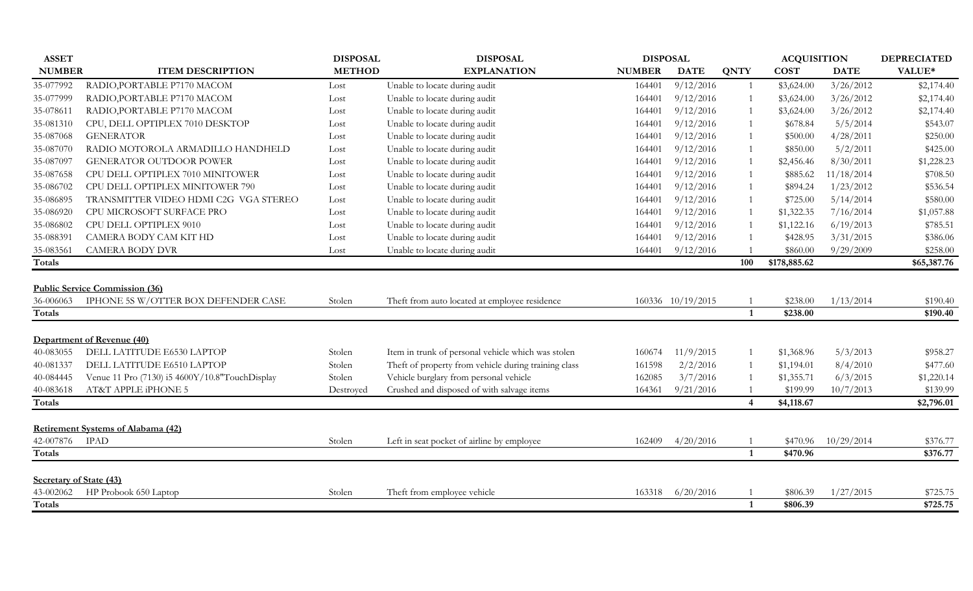| <b>NUMBER</b><br><b>METHOD</b><br><b>ITEM DESCRIPTION</b><br><b>EXPLANATION</b><br><b>NUMBER</b><br><b>DATE</b><br><b>COST</b><br><b>DATE</b><br>VALUE*<br><b>QNTY</b><br>RADIO, PORTABLE P7170 MACOM<br>Unable to locate during audit<br>9/12/2016<br>3/26/2012<br>\$2,174.40<br>164401<br>\$3,624.00<br>Lost<br>$\overline{1}$<br>9/12/2016<br>3/26/2012<br>\$2,174.40<br>RADIO, PORTABLE P7170 MACOM<br>Unable to locate during audit<br>\$3,624.00<br>Lost<br>164401<br>RADIO, PORTABLE P7170 MACOM<br>Unable to locate during audit<br>9/12/2016<br>3/26/2012<br>\$2,174.40<br>Lost<br>164401<br>\$3,624.00<br>Unable to locate during audit<br>5/5/2014<br>CPU, DELL OPTIPLEX 7010 DESKTOP<br>9/12/2016<br>\$543.07<br>\$678.84<br>Lost<br>164401<br>Unable to locate during audit<br>4/28/2011<br><b>GENERATOR</b><br>9/12/2016<br>\$250.00<br>164401<br>\$500.00<br>Lost<br>Unable to locate during audit<br>5/2/2011<br>RADIO MOTOROLA ARMADILLO HANDHELD<br>9/12/2016<br>\$425.00<br>\$850.00<br>Lost<br>164401<br>Unable to locate during audit<br>8/30/2011<br><b>GENERATOR OUTDOOR POWER</b><br>9/12/2016<br>\$1,228.23<br>\$2,456.46<br>Lost<br>164401<br>Unable to locate during audit<br>CPU DELL OPTIPLEX 7010 MINITOWER<br>9/12/2016<br>11/18/2014<br>\$708.50<br>\$885.62<br>Lost<br>164401<br>Unable to locate during audit<br>CPU DELL OPTIPLEX MINITOWER 790<br>9/12/2016<br>1/23/2012<br>\$536.54<br>164401<br>\$894.24<br>Lost<br>Unable to locate during audit<br>5/14/2014<br>TRANSMITTER VIDEO HDMI C2G VGA STEREO<br>9/12/2016<br>\$725.00<br>\$580.00<br>164401<br>Lost<br>Unable to locate during audit<br>CPU MICROSOFT SURFACE PRO<br>9/12/2016<br>\$1,322.35<br>7/16/2014<br>\$1,057.88<br>164401<br>Lost<br>CPU DELL OPTIPLEX 9010<br>Unable to locate during audit<br>9/12/2016<br>6/19/2013<br>\$1,122.16<br>\$785.51<br>164401<br>Lost<br>CAMERA BODY CAM KIT HD<br>Unable to locate during audit<br>9/12/2016<br>\$428.95<br>3/31/2015<br>\$386.06<br>Lost<br>164401<br><b>CAMERA BODY DVR</b><br>Unable to locate during audit<br>164401<br>9/12/2016<br>\$860.00<br>9/29/2009<br>\$258.00<br>Lost<br>100<br>\$178,885.62<br>\$65,387.76<br><b>Public Service Commission (36)</b><br>IPHONE 5S W/OTTER BOX DEFENDER CASE<br>Theft from auto located at employee residence<br>160336 10/19/2015<br>\$238.00<br>1/13/2014<br>\$190.40<br>Stolen<br>\$190.40<br>\$238.00<br>-1<br>Department of Revenue (40)<br>DELL LATITUDE E6530 LAPTOP<br>Item in trunk of personal vehicle which was stolen<br>11/9/2015<br>5/3/2013<br>\$958.27<br>40-083055<br>Stolen<br>160674<br>\$1,368.96<br>Theft of property from vehicle during training class<br>8/4/2010<br>40-081337<br>DELL LATITUDE E6510 LAPTOP<br>161598<br>2/2/2016<br>\$477.60<br>Stolen<br>\$1,194.01<br>Vehicle burglary from personal vehicle<br>6/3/2015<br>40-084445<br>Venue 11 Pro (7130) i5 4600Y/10.8"TouchDisplay<br>Stolen<br>3/7/2016<br>\$1,220.14<br>162085<br>\$1,355.71<br>AT&T APPLE iPHONE 5<br>Crushed and disposed of with salvage items<br>9/21/2016<br>\$199.99<br>10/7/2013<br>\$139.99<br>Destroyed<br>164361<br>$\Delta$<br>\$4,118.67<br>\$2,796.01<br>Retirement Systems of Alabama (42)<br><b>IPAD</b><br>42-007876<br>Stolen<br>Left in seat pocket of airline by employee<br>4/20/2016<br>\$470.96<br>10/29/2014<br>\$376.77<br>162409<br>Totals<br>\$470.96<br>\$376.77<br>$\overline{\mathbf{1}}$<br>Secretary of State (43)<br>HP Probook 650 Laptop<br>Theft from employee vehicle<br>6/20/2016<br>1/27/2015<br>Stolen<br>163318<br>\$806.39<br>\$725.75<br>\$725.75<br>\$806.39<br>$\overline{1}$ | <b>ASSET</b> | <b>DISPOSAL</b> | <b>DISPOSAL</b> | <b>DISPOSAL</b> |  | <b>ACQUISITION</b> | <b>DEPRECIATED</b> |
|---------------------------------------------------------------------------------------------------------------------------------------------------------------------------------------------------------------------------------------------------------------------------------------------------------------------------------------------------------------------------------------------------------------------------------------------------------------------------------------------------------------------------------------------------------------------------------------------------------------------------------------------------------------------------------------------------------------------------------------------------------------------------------------------------------------------------------------------------------------------------------------------------------------------------------------------------------------------------------------------------------------------------------------------------------------------------------------------------------------------------------------------------------------------------------------------------------------------------------------------------------------------------------------------------------------------------------------------------------------------------------------------------------------------------------------------------------------------------------------------------------------------------------------------------------------------------------------------------------------------------------------------------------------------------------------------------------------------------------------------------------------------------------------------------------------------------------------------------------------------------------------------------------------------------------------------------------------------------------------------------------------------------------------------------------------------------------------------------------------------------------------------------------------------------------------------------------------------------------------------------------------------------------------------------------------------------------------------------------------------------------------------------------------------------------------------------------------------------------------------------------------------------------------------------------------------------------------------------------------------------------------------------------------------------------------------------------------------------------------------------------------------------------------------------------------------------------------------------------------------------------------------------------------------------------------------------------------------------------------------------------------------------------------------------------------------------------------------------------------------------------------------------------------------------------------------------------------------------------------------------------------------------------------------------------------------------------------------------------------------------------------------------------------------------------------------------------------------------------------------------------------------------------------------------------------------------------------------------------------------------------|--------------|-----------------|-----------------|-----------------|--|--------------------|--------------------|
|                                                                                                                                                                                                                                                                                                                                                                                                                                                                                                                                                                                                                                                                                                                                                                                                                                                                                                                                                                                                                                                                                                                                                                                                                                                                                                                                                                                                                                                                                                                                                                                                                                                                                                                                                                                                                                                                                                                                                                                                                                                                                                                                                                                                                                                                                                                                                                                                                                                                                                                                                                                                                                                                                                                                                                                                                                                                                                                                                                                                                                                                                                                                                                                                                                                                                                                                                                                                                                                                                                                                                                                                                                 |              |                 |                 |                 |  |                    |                    |
|                                                                                                                                                                                                                                                                                                                                                                                                                                                                                                                                                                                                                                                                                                                                                                                                                                                                                                                                                                                                                                                                                                                                                                                                                                                                                                                                                                                                                                                                                                                                                                                                                                                                                                                                                                                                                                                                                                                                                                                                                                                                                                                                                                                                                                                                                                                                                                                                                                                                                                                                                                                                                                                                                                                                                                                                                                                                                                                                                                                                                                                                                                                                                                                                                                                                                                                                                                                                                                                                                                                                                                                                                                 | 35-077992    |                 |                 |                 |  |                    |                    |
|                                                                                                                                                                                                                                                                                                                                                                                                                                                                                                                                                                                                                                                                                                                                                                                                                                                                                                                                                                                                                                                                                                                                                                                                                                                                                                                                                                                                                                                                                                                                                                                                                                                                                                                                                                                                                                                                                                                                                                                                                                                                                                                                                                                                                                                                                                                                                                                                                                                                                                                                                                                                                                                                                                                                                                                                                                                                                                                                                                                                                                                                                                                                                                                                                                                                                                                                                                                                                                                                                                                                                                                                                                 | 35-077999    |                 |                 |                 |  |                    |                    |
|                                                                                                                                                                                                                                                                                                                                                                                                                                                                                                                                                                                                                                                                                                                                                                                                                                                                                                                                                                                                                                                                                                                                                                                                                                                                                                                                                                                                                                                                                                                                                                                                                                                                                                                                                                                                                                                                                                                                                                                                                                                                                                                                                                                                                                                                                                                                                                                                                                                                                                                                                                                                                                                                                                                                                                                                                                                                                                                                                                                                                                                                                                                                                                                                                                                                                                                                                                                                                                                                                                                                                                                                                                 | 35-07861     |                 |                 |                 |  |                    |                    |
|                                                                                                                                                                                                                                                                                                                                                                                                                                                                                                                                                                                                                                                                                                                                                                                                                                                                                                                                                                                                                                                                                                                                                                                                                                                                                                                                                                                                                                                                                                                                                                                                                                                                                                                                                                                                                                                                                                                                                                                                                                                                                                                                                                                                                                                                                                                                                                                                                                                                                                                                                                                                                                                                                                                                                                                                                                                                                                                                                                                                                                                                                                                                                                                                                                                                                                                                                                                                                                                                                                                                                                                                                                 | 35-081310    |                 |                 |                 |  |                    |                    |
|                                                                                                                                                                                                                                                                                                                                                                                                                                                                                                                                                                                                                                                                                                                                                                                                                                                                                                                                                                                                                                                                                                                                                                                                                                                                                                                                                                                                                                                                                                                                                                                                                                                                                                                                                                                                                                                                                                                                                                                                                                                                                                                                                                                                                                                                                                                                                                                                                                                                                                                                                                                                                                                                                                                                                                                                                                                                                                                                                                                                                                                                                                                                                                                                                                                                                                                                                                                                                                                                                                                                                                                                                                 | 35-087068    |                 |                 |                 |  |                    |                    |
|                                                                                                                                                                                                                                                                                                                                                                                                                                                                                                                                                                                                                                                                                                                                                                                                                                                                                                                                                                                                                                                                                                                                                                                                                                                                                                                                                                                                                                                                                                                                                                                                                                                                                                                                                                                                                                                                                                                                                                                                                                                                                                                                                                                                                                                                                                                                                                                                                                                                                                                                                                                                                                                                                                                                                                                                                                                                                                                                                                                                                                                                                                                                                                                                                                                                                                                                                                                                                                                                                                                                                                                                                                 | 35-087070    |                 |                 |                 |  |                    |                    |
|                                                                                                                                                                                                                                                                                                                                                                                                                                                                                                                                                                                                                                                                                                                                                                                                                                                                                                                                                                                                                                                                                                                                                                                                                                                                                                                                                                                                                                                                                                                                                                                                                                                                                                                                                                                                                                                                                                                                                                                                                                                                                                                                                                                                                                                                                                                                                                                                                                                                                                                                                                                                                                                                                                                                                                                                                                                                                                                                                                                                                                                                                                                                                                                                                                                                                                                                                                                                                                                                                                                                                                                                                                 | 35-087097    |                 |                 |                 |  |                    |                    |
|                                                                                                                                                                                                                                                                                                                                                                                                                                                                                                                                                                                                                                                                                                                                                                                                                                                                                                                                                                                                                                                                                                                                                                                                                                                                                                                                                                                                                                                                                                                                                                                                                                                                                                                                                                                                                                                                                                                                                                                                                                                                                                                                                                                                                                                                                                                                                                                                                                                                                                                                                                                                                                                                                                                                                                                                                                                                                                                                                                                                                                                                                                                                                                                                                                                                                                                                                                                                                                                                                                                                                                                                                                 | 35-087658    |                 |                 |                 |  |                    |                    |
|                                                                                                                                                                                                                                                                                                                                                                                                                                                                                                                                                                                                                                                                                                                                                                                                                                                                                                                                                                                                                                                                                                                                                                                                                                                                                                                                                                                                                                                                                                                                                                                                                                                                                                                                                                                                                                                                                                                                                                                                                                                                                                                                                                                                                                                                                                                                                                                                                                                                                                                                                                                                                                                                                                                                                                                                                                                                                                                                                                                                                                                                                                                                                                                                                                                                                                                                                                                                                                                                                                                                                                                                                                 | 35-086702    |                 |                 |                 |  |                    |                    |
|                                                                                                                                                                                                                                                                                                                                                                                                                                                                                                                                                                                                                                                                                                                                                                                                                                                                                                                                                                                                                                                                                                                                                                                                                                                                                                                                                                                                                                                                                                                                                                                                                                                                                                                                                                                                                                                                                                                                                                                                                                                                                                                                                                                                                                                                                                                                                                                                                                                                                                                                                                                                                                                                                                                                                                                                                                                                                                                                                                                                                                                                                                                                                                                                                                                                                                                                                                                                                                                                                                                                                                                                                                 | 35-086895    |                 |                 |                 |  |                    |                    |
|                                                                                                                                                                                                                                                                                                                                                                                                                                                                                                                                                                                                                                                                                                                                                                                                                                                                                                                                                                                                                                                                                                                                                                                                                                                                                                                                                                                                                                                                                                                                                                                                                                                                                                                                                                                                                                                                                                                                                                                                                                                                                                                                                                                                                                                                                                                                                                                                                                                                                                                                                                                                                                                                                                                                                                                                                                                                                                                                                                                                                                                                                                                                                                                                                                                                                                                                                                                                                                                                                                                                                                                                                                 | 35-086920    |                 |                 |                 |  |                    |                    |
|                                                                                                                                                                                                                                                                                                                                                                                                                                                                                                                                                                                                                                                                                                                                                                                                                                                                                                                                                                                                                                                                                                                                                                                                                                                                                                                                                                                                                                                                                                                                                                                                                                                                                                                                                                                                                                                                                                                                                                                                                                                                                                                                                                                                                                                                                                                                                                                                                                                                                                                                                                                                                                                                                                                                                                                                                                                                                                                                                                                                                                                                                                                                                                                                                                                                                                                                                                                                                                                                                                                                                                                                                                 | 35-086802    |                 |                 |                 |  |                    |                    |
|                                                                                                                                                                                                                                                                                                                                                                                                                                                                                                                                                                                                                                                                                                                                                                                                                                                                                                                                                                                                                                                                                                                                                                                                                                                                                                                                                                                                                                                                                                                                                                                                                                                                                                                                                                                                                                                                                                                                                                                                                                                                                                                                                                                                                                                                                                                                                                                                                                                                                                                                                                                                                                                                                                                                                                                                                                                                                                                                                                                                                                                                                                                                                                                                                                                                                                                                                                                                                                                                                                                                                                                                                                 | 35-088391    |                 |                 |                 |  |                    |                    |
|                                                                                                                                                                                                                                                                                                                                                                                                                                                                                                                                                                                                                                                                                                                                                                                                                                                                                                                                                                                                                                                                                                                                                                                                                                                                                                                                                                                                                                                                                                                                                                                                                                                                                                                                                                                                                                                                                                                                                                                                                                                                                                                                                                                                                                                                                                                                                                                                                                                                                                                                                                                                                                                                                                                                                                                                                                                                                                                                                                                                                                                                                                                                                                                                                                                                                                                                                                                                                                                                                                                                                                                                                                 | 35-083561    |                 |                 |                 |  |                    |                    |
|                                                                                                                                                                                                                                                                                                                                                                                                                                                                                                                                                                                                                                                                                                                                                                                                                                                                                                                                                                                                                                                                                                                                                                                                                                                                                                                                                                                                                                                                                                                                                                                                                                                                                                                                                                                                                                                                                                                                                                                                                                                                                                                                                                                                                                                                                                                                                                                                                                                                                                                                                                                                                                                                                                                                                                                                                                                                                                                                                                                                                                                                                                                                                                                                                                                                                                                                                                                                                                                                                                                                                                                                                                 | Totals       |                 |                 |                 |  |                    |                    |
|                                                                                                                                                                                                                                                                                                                                                                                                                                                                                                                                                                                                                                                                                                                                                                                                                                                                                                                                                                                                                                                                                                                                                                                                                                                                                                                                                                                                                                                                                                                                                                                                                                                                                                                                                                                                                                                                                                                                                                                                                                                                                                                                                                                                                                                                                                                                                                                                                                                                                                                                                                                                                                                                                                                                                                                                                                                                                                                                                                                                                                                                                                                                                                                                                                                                                                                                                                                                                                                                                                                                                                                                                                 |              |                 |                 |                 |  |                    |                    |
|                                                                                                                                                                                                                                                                                                                                                                                                                                                                                                                                                                                                                                                                                                                                                                                                                                                                                                                                                                                                                                                                                                                                                                                                                                                                                                                                                                                                                                                                                                                                                                                                                                                                                                                                                                                                                                                                                                                                                                                                                                                                                                                                                                                                                                                                                                                                                                                                                                                                                                                                                                                                                                                                                                                                                                                                                                                                                                                                                                                                                                                                                                                                                                                                                                                                                                                                                                                                                                                                                                                                                                                                                                 |              |                 |                 |                 |  |                    |                    |
|                                                                                                                                                                                                                                                                                                                                                                                                                                                                                                                                                                                                                                                                                                                                                                                                                                                                                                                                                                                                                                                                                                                                                                                                                                                                                                                                                                                                                                                                                                                                                                                                                                                                                                                                                                                                                                                                                                                                                                                                                                                                                                                                                                                                                                                                                                                                                                                                                                                                                                                                                                                                                                                                                                                                                                                                                                                                                                                                                                                                                                                                                                                                                                                                                                                                                                                                                                                                                                                                                                                                                                                                                                 | 36-006063    |                 |                 |                 |  |                    |                    |
|                                                                                                                                                                                                                                                                                                                                                                                                                                                                                                                                                                                                                                                                                                                                                                                                                                                                                                                                                                                                                                                                                                                                                                                                                                                                                                                                                                                                                                                                                                                                                                                                                                                                                                                                                                                                                                                                                                                                                                                                                                                                                                                                                                                                                                                                                                                                                                                                                                                                                                                                                                                                                                                                                                                                                                                                                                                                                                                                                                                                                                                                                                                                                                                                                                                                                                                                                                                                                                                                                                                                                                                                                                 | Totals       |                 |                 |                 |  |                    |                    |
|                                                                                                                                                                                                                                                                                                                                                                                                                                                                                                                                                                                                                                                                                                                                                                                                                                                                                                                                                                                                                                                                                                                                                                                                                                                                                                                                                                                                                                                                                                                                                                                                                                                                                                                                                                                                                                                                                                                                                                                                                                                                                                                                                                                                                                                                                                                                                                                                                                                                                                                                                                                                                                                                                                                                                                                                                                                                                                                                                                                                                                                                                                                                                                                                                                                                                                                                                                                                                                                                                                                                                                                                                                 |              |                 |                 |                 |  |                    |                    |
|                                                                                                                                                                                                                                                                                                                                                                                                                                                                                                                                                                                                                                                                                                                                                                                                                                                                                                                                                                                                                                                                                                                                                                                                                                                                                                                                                                                                                                                                                                                                                                                                                                                                                                                                                                                                                                                                                                                                                                                                                                                                                                                                                                                                                                                                                                                                                                                                                                                                                                                                                                                                                                                                                                                                                                                                                                                                                                                                                                                                                                                                                                                                                                                                                                                                                                                                                                                                                                                                                                                                                                                                                                 |              |                 |                 |                 |  |                    |                    |
|                                                                                                                                                                                                                                                                                                                                                                                                                                                                                                                                                                                                                                                                                                                                                                                                                                                                                                                                                                                                                                                                                                                                                                                                                                                                                                                                                                                                                                                                                                                                                                                                                                                                                                                                                                                                                                                                                                                                                                                                                                                                                                                                                                                                                                                                                                                                                                                                                                                                                                                                                                                                                                                                                                                                                                                                                                                                                                                                                                                                                                                                                                                                                                                                                                                                                                                                                                                                                                                                                                                                                                                                                                 |              |                 |                 |                 |  |                    |                    |
|                                                                                                                                                                                                                                                                                                                                                                                                                                                                                                                                                                                                                                                                                                                                                                                                                                                                                                                                                                                                                                                                                                                                                                                                                                                                                                                                                                                                                                                                                                                                                                                                                                                                                                                                                                                                                                                                                                                                                                                                                                                                                                                                                                                                                                                                                                                                                                                                                                                                                                                                                                                                                                                                                                                                                                                                                                                                                                                                                                                                                                                                                                                                                                                                                                                                                                                                                                                                                                                                                                                                                                                                                                 |              |                 |                 |                 |  |                    |                    |
|                                                                                                                                                                                                                                                                                                                                                                                                                                                                                                                                                                                                                                                                                                                                                                                                                                                                                                                                                                                                                                                                                                                                                                                                                                                                                                                                                                                                                                                                                                                                                                                                                                                                                                                                                                                                                                                                                                                                                                                                                                                                                                                                                                                                                                                                                                                                                                                                                                                                                                                                                                                                                                                                                                                                                                                                                                                                                                                                                                                                                                                                                                                                                                                                                                                                                                                                                                                                                                                                                                                                                                                                                                 |              |                 |                 |                 |  |                    |                    |
|                                                                                                                                                                                                                                                                                                                                                                                                                                                                                                                                                                                                                                                                                                                                                                                                                                                                                                                                                                                                                                                                                                                                                                                                                                                                                                                                                                                                                                                                                                                                                                                                                                                                                                                                                                                                                                                                                                                                                                                                                                                                                                                                                                                                                                                                                                                                                                                                                                                                                                                                                                                                                                                                                                                                                                                                                                                                                                                                                                                                                                                                                                                                                                                                                                                                                                                                                                                                                                                                                                                                                                                                                                 | 40-083618    |                 |                 |                 |  |                    |                    |
|                                                                                                                                                                                                                                                                                                                                                                                                                                                                                                                                                                                                                                                                                                                                                                                                                                                                                                                                                                                                                                                                                                                                                                                                                                                                                                                                                                                                                                                                                                                                                                                                                                                                                                                                                                                                                                                                                                                                                                                                                                                                                                                                                                                                                                                                                                                                                                                                                                                                                                                                                                                                                                                                                                                                                                                                                                                                                                                                                                                                                                                                                                                                                                                                                                                                                                                                                                                                                                                                                                                                                                                                                                 | Totals       |                 |                 |                 |  |                    |                    |
|                                                                                                                                                                                                                                                                                                                                                                                                                                                                                                                                                                                                                                                                                                                                                                                                                                                                                                                                                                                                                                                                                                                                                                                                                                                                                                                                                                                                                                                                                                                                                                                                                                                                                                                                                                                                                                                                                                                                                                                                                                                                                                                                                                                                                                                                                                                                                                                                                                                                                                                                                                                                                                                                                                                                                                                                                                                                                                                                                                                                                                                                                                                                                                                                                                                                                                                                                                                                                                                                                                                                                                                                                                 |              |                 |                 |                 |  |                    |                    |
|                                                                                                                                                                                                                                                                                                                                                                                                                                                                                                                                                                                                                                                                                                                                                                                                                                                                                                                                                                                                                                                                                                                                                                                                                                                                                                                                                                                                                                                                                                                                                                                                                                                                                                                                                                                                                                                                                                                                                                                                                                                                                                                                                                                                                                                                                                                                                                                                                                                                                                                                                                                                                                                                                                                                                                                                                                                                                                                                                                                                                                                                                                                                                                                                                                                                                                                                                                                                                                                                                                                                                                                                                                 |              |                 |                 |                 |  |                    |                    |
|                                                                                                                                                                                                                                                                                                                                                                                                                                                                                                                                                                                                                                                                                                                                                                                                                                                                                                                                                                                                                                                                                                                                                                                                                                                                                                                                                                                                                                                                                                                                                                                                                                                                                                                                                                                                                                                                                                                                                                                                                                                                                                                                                                                                                                                                                                                                                                                                                                                                                                                                                                                                                                                                                                                                                                                                                                                                                                                                                                                                                                                                                                                                                                                                                                                                                                                                                                                                                                                                                                                                                                                                                                 |              |                 |                 |                 |  |                    |                    |
|                                                                                                                                                                                                                                                                                                                                                                                                                                                                                                                                                                                                                                                                                                                                                                                                                                                                                                                                                                                                                                                                                                                                                                                                                                                                                                                                                                                                                                                                                                                                                                                                                                                                                                                                                                                                                                                                                                                                                                                                                                                                                                                                                                                                                                                                                                                                                                                                                                                                                                                                                                                                                                                                                                                                                                                                                                                                                                                                                                                                                                                                                                                                                                                                                                                                                                                                                                                                                                                                                                                                                                                                                                 |              |                 |                 |                 |  |                    |                    |
|                                                                                                                                                                                                                                                                                                                                                                                                                                                                                                                                                                                                                                                                                                                                                                                                                                                                                                                                                                                                                                                                                                                                                                                                                                                                                                                                                                                                                                                                                                                                                                                                                                                                                                                                                                                                                                                                                                                                                                                                                                                                                                                                                                                                                                                                                                                                                                                                                                                                                                                                                                                                                                                                                                                                                                                                                                                                                                                                                                                                                                                                                                                                                                                                                                                                                                                                                                                                                                                                                                                                                                                                                                 |              |                 |                 |                 |  |                    |                    |
|                                                                                                                                                                                                                                                                                                                                                                                                                                                                                                                                                                                                                                                                                                                                                                                                                                                                                                                                                                                                                                                                                                                                                                                                                                                                                                                                                                                                                                                                                                                                                                                                                                                                                                                                                                                                                                                                                                                                                                                                                                                                                                                                                                                                                                                                                                                                                                                                                                                                                                                                                                                                                                                                                                                                                                                                                                                                                                                                                                                                                                                                                                                                                                                                                                                                                                                                                                                                                                                                                                                                                                                                                                 | 43-002062    |                 |                 |                 |  |                    |                    |
|                                                                                                                                                                                                                                                                                                                                                                                                                                                                                                                                                                                                                                                                                                                                                                                                                                                                                                                                                                                                                                                                                                                                                                                                                                                                                                                                                                                                                                                                                                                                                                                                                                                                                                                                                                                                                                                                                                                                                                                                                                                                                                                                                                                                                                                                                                                                                                                                                                                                                                                                                                                                                                                                                                                                                                                                                                                                                                                                                                                                                                                                                                                                                                                                                                                                                                                                                                                                                                                                                                                                                                                                                                 | Totals       |                 |                 |                 |  |                    |                    |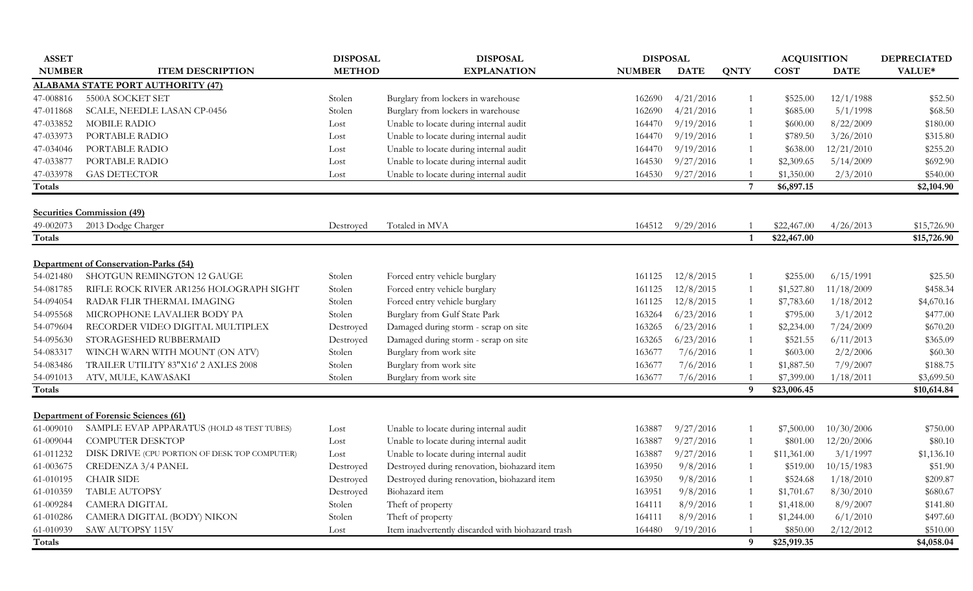| <b>ASSET</b>           |                                               | <b>DISPOSAL</b>        | <b>DISPOSAL</b>                                   | <b>DISPOSAL</b>  |             |                | <b>ACQUISITION</b> |             | <b>DEPRECIATED</b>  |
|------------------------|-----------------------------------------------|------------------------|---------------------------------------------------|------------------|-------------|----------------|--------------------|-------------|---------------------|
| <b>NUMBER</b>          | <b>ITEM DESCRIPTION</b>                       | <b>METHOD</b>          | <b>EXPLANATION</b>                                | <b>NUMBER</b>    | <b>DATE</b> | <b>QNTY</b>    | <b>COST</b>        | <b>DATE</b> | VALUE*              |
|                        | <b>ALABAMA STATE PORT AUTHORITY (47)</b>      |                        |                                                   |                  |             |                |                    |             |                     |
| 47-008816              | 5500A SOCKET SET                              | Stolen                 | Burglary from lockers in warehouse                | 162690           | 4/21/2016   |                | \$525.00           | 12/1/1988   | \$52.50             |
| 47-011868              | SCALE, NEEDLE LASAN CP-0456                   | Stolen                 | Burglary from lockers in warehouse                | 162690           | 4/21/2016   | $\overline{1}$ | \$685.00           | 5/1/1998    | \$68.50             |
| 47-033852              | <b>MOBILE RADIO</b>                           | Lost                   | Unable to locate during internal audit            | 164470           | 9/19/2016   |                | \$600.00           | 8/22/2009   | \$180.00            |
| 47-033973              | PORTABLE RADIO                                | Lost                   | Unable to locate during internal audit            | 164470           | 9/19/2016   |                | \$789.50           | 3/26/2010   | \$315.80            |
| 47-034046              | PORTABLE RADIO                                | Lost                   | Unable to locate during internal audit            | 164470           | 9/19/2016   |                | \$638.00           | 12/21/2010  | \$255.20            |
| 47-033877              | PORTABLE RADIO                                | Lost                   | Unable to locate during internal audit            | 164530           | 9/27/2016   |                | \$2,309.65         | 5/14/2009   | \$692.90            |
| 47-033978              | <b>GAS DETECTOR</b>                           | Lost                   | Unable to locate during internal audit            | 164530           | 9/27/2016   |                | \$1,350.00         | 2/3/2010    | \$540.00            |
| Totals                 |                                               |                        |                                                   |                  |             | 7              | \$6,897.15         |             | \$2,104.90          |
|                        | <b>Securities Commission (49)</b>             |                        |                                                   |                  |             |                |                    |             |                     |
| 49-002073              | 2013 Dodge Charger                            | Destroyed              | Totaled in MVA                                    | 164512           | 9/29/2016   |                | \$22,467.00        | 4/26/2013   | \$15,726.90         |
| Totals                 |                                               |                        |                                                   |                  |             | $\overline{1}$ | \$22,467.00        |             | \$15,726.90         |
|                        | Department of Conservation-Parks (54)         |                        |                                                   |                  |             |                |                    |             |                     |
|                        | SHOTGUN REMINGTON 12 GAUGE                    |                        | Forced entry vehicle burglary                     |                  | 12/8/2015   |                | \$255.00           | 6/15/1991   |                     |
| 54-021480<br>54-081785 | RIFLE ROCK RIVER AR1256 HOLOGRAPH SIGHT       | Stolen<br>Stolen       | Forced entry vehicle burglary                     | 161125<br>161125 | 12/8/2015   |                | \$1,527.80         | 11/18/2009  | \$25.50<br>\$458.34 |
| 54-094054              | RADAR FLIR THERMAL IMAGING                    | Stolen                 | Forced entry vehicle burglary                     | 161125           | 12/8/2015   |                | \$7,783.60         | 1/18/2012   | \$4,670.16          |
| 54-095568              | MICROPHONE LAVALIER BODY PA                   | Stolen                 | Burglary from Gulf State Park                     |                  | 6/23/2016   |                | \$795.00           | 3/1/2012    | \$477.00            |
| 54-079604              | RECORDER VIDEO DIGITAL MULTIPLEX              |                        | Damaged during storm - scrap on site              | 163264<br>163265 | 6/23/2016   |                | \$2,234.00         | 7/24/2009   | \$670.20            |
| 54-095630              | STORAGESHED RUBBERMAID                        | Destroyed<br>Destroyed | Damaged during storm - scrap on site              | 163265           | 6/23/2016   |                | \$521.55           | 6/11/2013   | \$365.09            |
| 54-083317              | WINCH WARN WITH MOUNT (ON ATV)                | Stolen                 | Burglary from work site                           | 163677           | 7/6/2016    |                | \$603.00           | 2/2/2006    | \$60.30             |
| 54-083486              | TRAILER UTILITY 83"X16' 2 AXLES 2008          | Stolen                 | Burglary from work site                           | 163677           | 7/6/2016    |                | \$1,887.50         | 7/9/2007    | \$188.75            |
| 54-091013              | ATV, MULE, KAWASAKI                           | Stolen                 | Burglary from work site                           | 163677           | 7/6/2016    |                | \$7,399.00         | 1/18/2011   | \$3,699.50          |
| Totals                 |                                               |                        |                                                   |                  |             | 9              | \$23,006.45        |             | \$10,614.84         |
|                        |                                               |                        |                                                   |                  |             |                |                    |             |                     |
|                        | <b>Department of Forensic Sciences (61)</b>   |                        |                                                   |                  |             |                |                    |             |                     |
| 61-009010              | SAMPLE EVAP APPARATUS (HOLD 48 TEST TUBES)    | Lost                   | Unable to locate during internal audit            | 163887           | 9/27/2016   |                | \$7,500.00         | 10/30/2006  | \$750.00            |
| 61-009044              | <b>COMPUTER DESKTOP</b>                       | Lost                   | Unable to locate during internal audit            | 163887           | 9/27/2016   |                | \$801.00           | 12/20/2006  | \$80.10             |
| 61-011232              | DISK DRIVE (CPU PORTION OF DESK TOP COMPUTER) | Lost                   | Unable to locate during internal audit            | 163887           | 9/27/2016   |                | \$11,361.00        | 3/1/1997    | \$1,136.10          |
| 61-003675              | <b>CREDENZA 3/4 PANEL</b>                     | Destroyed              | Destroyed during renovation, biohazard item       | 163950           | 9/8/2016    |                | \$519.00           | 10/15/1983  | \$51.90             |
| 61-010195              | <b>CHAIR SIDE</b>                             | Destroyed              | Destroyed during renovation, biohazard item       | 163950           | 9/8/2016    |                | \$524.68           | 1/18/2010   | \$209.87            |
| 61-010359              | TABLE AUTOPSY                                 | Destroyed              | Biohazard item                                    | 163951           | 9/8/2016    |                | \$1,701.67         | 8/30/2010   | \$680.67            |
| 61-009284              | <b>CAMERA DIGITAL</b>                         | Stolen                 | Theft of property                                 | 164111           | 8/9/2016    |                | \$1,418.00         | 8/9/2007    | \$141.80            |
| 61-010286              | CAMERA DIGITAL (BODY) NIKON                   | Stolen                 | Theft of property                                 | 164111           | 8/9/2016    |                | \$1,244.00         | 6/1/2010    | \$497.60            |
| 61-010939              | SAW AUTOPSY 115V                              | Lost                   | Item inadvertently discarded with biohazard trash | 164480           | 9/19/2016   |                | \$850.00           | 2/12/2012   | \$510.00            |
| <b>Totals</b>          |                                               |                        |                                                   |                  |             | -9             | \$25,919.35        |             | \$4,058.04          |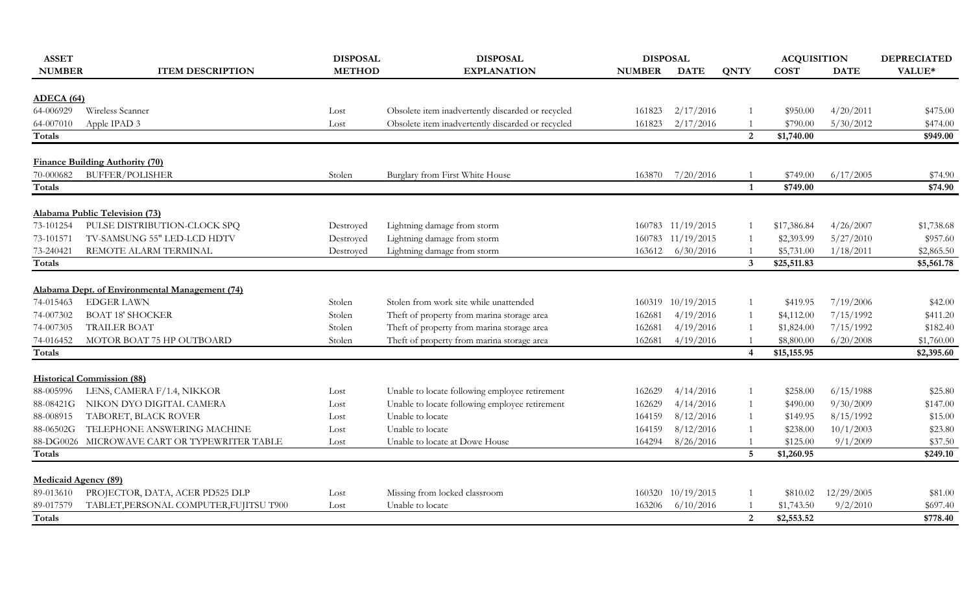| <b>ASSET</b>                |                                                | <b>DISPOSAL</b> | <b>DISPOSAL</b>                                   | <b>DISPOSAL</b> |                   |                 | <b>ACQUISITION</b> |             | <b>DEPRECIATED</b> |
|-----------------------------|------------------------------------------------|-----------------|---------------------------------------------------|-----------------|-------------------|-----------------|--------------------|-------------|--------------------|
| <b>NUMBER</b>               | <b>ITEM DESCRIPTION</b>                        | <b>METHOD</b>   | <b>EXPLANATION</b>                                | <b>NUMBER</b>   | <b>DATE</b>       | <b>QNTY</b>     | <b>COST</b>        | <b>DATE</b> | VALUE*             |
|                             |                                                |                 |                                                   |                 |                   |                 |                    |             |                    |
| ADECA(64)                   |                                                |                 |                                                   |                 |                   |                 |                    |             |                    |
| 64-006929                   | Wireless Scanner                               | Lost            | Obsolete item inadvertently discarded or recycled | 161823          | 2/17/2016         |                 | \$950.00           | 4/20/2011   | \$475.00           |
| 64-007010                   | Apple IPAD 3                                   | Lost            | Obsolete item inadvertently discarded or recycled | 161823          | 2/17/2016         |                 | \$790.00           | 5/30/2012   | \$474.00           |
| <b>Totals</b>               |                                                |                 |                                                   |                 |                   | $\overline{2}$  | \$1,740.00         |             | \$949.00           |
|                             | <b>Finance Building Authority (70)</b>         |                 |                                                   |                 |                   |                 |                    |             |                    |
| 70-000682                   | <b>BUFFER/POLISHER</b>                         | Stolen          | Burglary from First White House                   | 163870          | 7/20/2016         |                 | \$749.00           | 6/17/2005   | \$74.90            |
| Totals                      |                                                |                 |                                                   |                 |                   | $\mathbf{1}$    | \$749.00           |             | \$74.90            |
|                             | Alabama Public Television (73)                 |                 |                                                   |                 |                   |                 |                    |             |                    |
| 73-101254                   | PULSE DISTRIBUTION-CLOCK SPQ                   | Destroyed       | Lightning damage from storm                       |                 | 160783 11/19/2015 |                 | \$17,386.84        | 4/26/2007   | \$1,738.68         |
| 73-101571                   | TV-SAMSUNG 55" LED-LCD HDTV                    | Destroyed       | Lightning damage from storm                       |                 | 160783 11/19/2015 |                 | \$2,393.99         | 5/27/2010   | \$957.60           |
| 73-240421                   | REMOTE ALARM TERMINAL                          | Destroyed       | Lightning damage from storm                       | 163612          | 6/30/2016         |                 | \$5,731.00         | 1/18/2011   | \$2,865.50         |
| Totals                      |                                                |                 |                                                   |                 |                   | 3 <sup>1</sup>  | \$25,511.83        |             | \$5,561.78         |
|                             |                                                |                 |                                                   |                 |                   |                 |                    |             |                    |
|                             | Alabama Dept. of Environmental Management (74) |                 |                                                   |                 |                   |                 |                    |             |                    |
| 74-015463                   | <b>EDGER LAWN</b>                              | Stolen          | Stolen from work site while unattended            |                 | 160319 10/19/2015 | $\overline{1}$  | \$419.95           | 7/19/2006   | \$42.00            |
| 74-007302                   | <b>BOAT 18' SHOCKER</b>                        | Stolen          | Theft of property from marina storage area        | 162681          | 4/19/2016         | $\mathbf{1}$    | \$4,112.00         | 7/15/1992   | \$411.20           |
| 74-007305                   | <b>TRAILER BOAT</b>                            | Stolen          | Theft of property from marina storage area        | 162681          | 4/19/2016         |                 | \$1,824.00         | 7/15/1992   | \$182.40           |
| 74-016452                   | MOTOR BOAT 75 HP OUTBOARD                      | Stolen          | Theft of property from marina storage area        | 162681          | 4/19/2016         |                 | \$8,800.00         | 6/20/2008   | \$1,760.00         |
| Totals                      |                                                |                 |                                                   |                 |                   | 4               | \$15,155.95        |             | \$2,395.60         |
|                             | <b>Historical Commission (88)</b>              |                 |                                                   |                 |                   |                 |                    |             |                    |
| 88-005996                   | LENS, CAMERA F/1.4, NIKKOR                     | Lost            | Unable to locate following employee retirement    | 162629          | 4/14/2016         |                 | \$258.00           | 6/15/1988   | \$25.80            |
| 88-08421G                   | NIKON DYO DIGITAL CAMERA                       | Lost            | Unable to locate following employee retirement    | 162629          | 4/14/2016         | 1               | \$490.00           | 9/30/2009   | \$147.00           |
| 88-008915                   | TABORET, BLACK ROVER                           | Lost            | Unable to locate                                  | 164159          | 8/12/2016         | $\mathbf{1}$    | \$149.95           | 8/15/1992   | \$15.00            |
| 88-06502G                   | TELEPHONE ANSWERING MACHINE                    | Lost            | Unable to locate                                  | 164159          | 8/12/2016         |                 | \$238.00           | 10/1/2003   | \$23.80            |
|                             | 88-DG0026 MICROWAVE CART OR TYPEWRITER TABLE   | Lost            | Unable to locate at Dowe House                    | 164294          | 8/26/2016         |                 | \$125.00           | 9/1/2009    | \$37.50            |
| Totals                      |                                                |                 |                                                   |                 |                   | $5\phantom{.0}$ | \$1,260.95         |             | \$249.10           |
| <b>Medicaid Agency (89)</b> |                                                |                 |                                                   |                 |                   |                 |                    |             |                    |
| 89-013610                   | PROJECTOR, DATA, ACER PD525 DLP                | Lost            | Missing from locked classroom                     |                 | 160320 10/19/2015 |                 | \$810.02           | 12/29/2005  | \$81.00            |
| 89-017579                   | TABLET, PERSONAL COMPUTER, FUJITSU T900        | Lost            | Unable to locate                                  | 163206          | 6/10/2016         |                 | \$1,743.50         | 9/2/2010    | \$697.40           |
| Totals                      |                                                |                 |                                                   |                 |                   | $\mathbf{2}$    | \$2,553.52         |             | \$778.40           |
|                             |                                                |                 |                                                   |                 |                   |                 |                    |             |                    |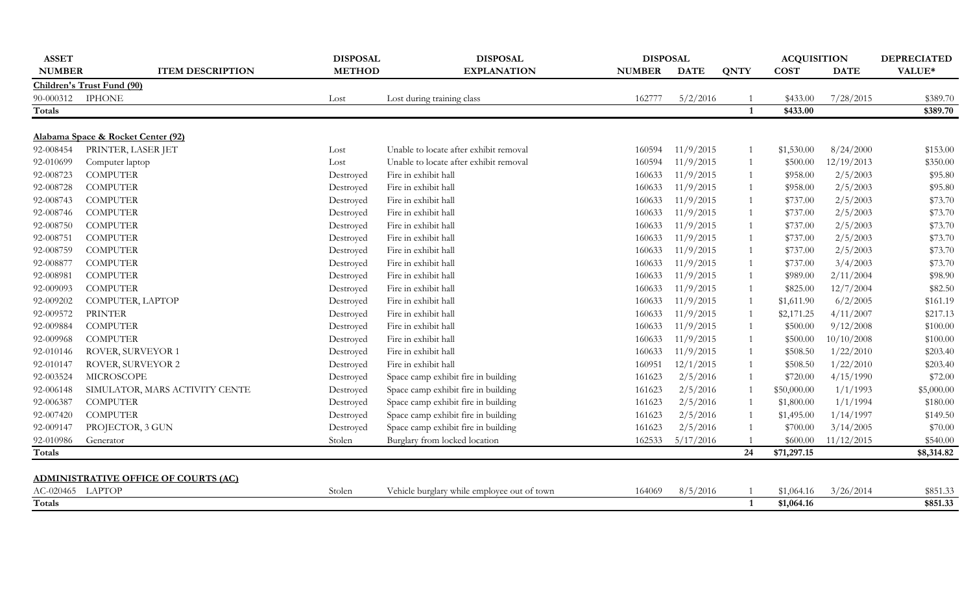| Children's Trust Fund (90)<br>90-000312 IPHONE<br>Lost during training class<br>162777<br>5/2/2016<br>\$433.00<br>7/28/2015<br>Lost<br>\$433.00<br>Totals<br>Alabama Space & Rocket Center (92)<br>PRINTER, LASER JET<br>11/9/2015<br>92-008454<br>Unable to locate after exhibit removal<br>8/24/2000<br>\$153.00<br>Lost<br>160594<br>\$1,530.00<br>$\mathbf{1}$<br>11/9/2015<br>Computer laptop<br>Unable to locate after exhibit removal<br>12/19/2013<br>\$350.00<br>92-010699<br>160594<br>\$500.00<br>Lost<br>$\mathbf{1}$<br><b>COMPUTER</b><br>Fire in exhibit hall<br>11/9/2015<br>2/5/2003<br>92-008723<br>\$958.00<br>Destroyed<br>160633<br>1<br><b>COMPUTER</b><br>11/9/2015<br>92-008728<br>Fire in exhibit hall<br>\$958.00<br>2/5/2003<br>Destroyed<br>160633<br>1<br>92-008743<br><b>COMPUTER</b><br>11/9/2015<br>\$737.00<br>2/5/2003<br>Destroyed<br>Fire in exhibit hall<br>160633<br>$\mathbf{1}$<br>92-008746<br><b>COMPUTER</b><br>11/9/2015<br>2/5/2003<br>Fire in exhibit hall<br>160633<br>\$737.00<br>Destroyed<br>1<br>11/9/2015<br>92-008750<br><b>COMPUTER</b><br>Fire in exhibit hall<br>160633<br>\$737.00<br>2/5/2003<br>Destroyed<br>1<br>92-008751<br><b>COMPUTER</b><br>11/9/2015<br>2/5/2003<br>Fire in exhibit hall<br>160633<br>\$737.00<br>Destroyed<br>$\mathbf{1}$<br><b>COMPUTER</b><br>11/9/2015<br>92-008759<br>Fire in exhibit hall<br>2/5/2003<br>Destroyed<br>160633<br>\$737.00<br>1<br><b>COMPUTER</b><br>11/9/2015<br>3/4/2003<br>92-008877<br>Fire in exhibit hall<br>\$737.00<br>Destroyed<br>160633<br>1<br>11/9/2015<br>92-008981<br><b>COMPUTER</b><br>Fire in exhibit hall<br>2/11/2004<br>Destroyed<br>160633<br>\$989.00<br>1<br><b>COMPUTER</b><br>Fire in exhibit hall<br>11/9/2015<br>12/7/2004<br>92-009093<br>160633<br>\$825.00<br>Destroyed<br>1<br>11/9/2015<br>92-009202<br>COMPUTER, LAPTOP<br>Fire in exhibit hall<br>6/2/2005<br>Destroyed<br>160633<br>\$1,611.90<br>1<br>92-009572<br>11/9/2015<br>4/11/2007<br>\$217.13<br><b>PRINTER</b><br>Fire in exhibit hall<br>160633<br>\$2,171.25<br>Destroyed<br>$\mathbf{1}$<br>11/9/2015<br>92-009884<br><b>COMPUTER</b><br>Fire in exhibit hall<br>\$500.00<br>9/12/2008<br>Destroyed<br>160633<br>$\overline{1}$<br>11/9/2015<br>10/10/2008<br>92-009968<br><b>COMPUTER</b><br>Fire in exhibit hall<br>160633<br>\$500.00<br>\$100.00<br>Destroyed<br>$\overline{1}$<br>11/9/2015<br>Fire in exhibit hall<br>160633<br>1/22/2010<br>92-010146<br>ROVER, SURVEYOR 1<br>Destroyed<br>\$508.50<br>$\overline{1}$<br>Fire in exhibit hall<br>12/1/2015<br>1/22/2010<br>92-010147<br>ROVER, SURVEYOR 2<br>160951<br>\$508.50<br>\$203.40<br>Destroyed<br>1<br>92-003524<br>Space camp exhibit fire in building<br>161623<br>2/5/2016<br>4/15/1990<br><b>MICROSCOPE</b><br>\$720.00<br>Destroyed<br>1<br>2/5/2016<br>1/1/1993<br>SIMULATOR, MARS ACTIVITY CENTE<br>Space camp exhibit fire in building<br>161623<br>\$5,000.00<br>92-006148<br>Destroyed<br>\$50,000.00<br>-1<br><b>COMPUTER</b><br>Space camp exhibit fire in building<br>2/5/2016<br>1/1/1994<br>92-006387<br>161623<br>\$1,800.00<br>\$180.00<br>Destroyed<br>-1<br>92-007420<br><b>COMPUTER</b><br>Space camp exhibit fire in building<br>161623<br>2/5/2016<br>1/14/1997<br>\$149.50<br>Destroyed<br>\$1,495.00<br>$\overline{1}$<br>Space camp exhibit fire in building<br>2/5/2016<br>3/14/2005<br>\$70.00<br>92-009147<br>PROJECTOR, 3 GUN<br>161623<br>\$700.00<br>Destroyed<br>92-010986<br>Stolen<br>Burglary from locked location<br>5/17/2016<br>11/12/2015<br>\$540.00<br>Generator<br>162533<br>\$600.00<br>24<br><b>Totals</b><br>\$71,297.15<br><b>ADMINISTRATIVE OFFICE OF COURTS (AC)</b><br>AC-020465 LAPTOP<br>8/5/2016<br>Stolen<br>Vehicle burglary while employee out of town<br>164069<br>\$1,064.16<br>3/26/2014<br><b>Totals</b><br>\$1,064.16<br>1 | <b>ASSET</b><br><b>NUMBER</b> | <b>ITEM DESCRIPTION</b> | <b>DISPOSAL</b><br><b>METHOD</b> | <b>DISPOSAL</b><br><b>EXPLANATION</b> | <b>DISPOSAL</b><br><b>NUMBER</b> | <b>DATE</b> | <b>QNTY</b> | <b>ACQUISITION</b><br><b>COST</b> | <b>DATE</b> | <b>DEPRECIATED</b><br>VALUE* |
|------------------------------------------------------------------------------------------------------------------------------------------------------------------------------------------------------------------------------------------------------------------------------------------------------------------------------------------------------------------------------------------------------------------------------------------------------------------------------------------------------------------------------------------------------------------------------------------------------------------------------------------------------------------------------------------------------------------------------------------------------------------------------------------------------------------------------------------------------------------------------------------------------------------------------------------------------------------------------------------------------------------------------------------------------------------------------------------------------------------------------------------------------------------------------------------------------------------------------------------------------------------------------------------------------------------------------------------------------------------------------------------------------------------------------------------------------------------------------------------------------------------------------------------------------------------------------------------------------------------------------------------------------------------------------------------------------------------------------------------------------------------------------------------------------------------------------------------------------------------------------------------------------------------------------------------------------------------------------------------------------------------------------------------------------------------------------------------------------------------------------------------------------------------------------------------------------------------------------------------------------------------------------------------------------------------------------------------------------------------------------------------------------------------------------------------------------------------------------------------------------------------------------------------------------------------------------------------------------------------------------------------------------------------------------------------------------------------------------------------------------------------------------------------------------------------------------------------------------------------------------------------------------------------------------------------------------------------------------------------------------------------------------------------------------------------------------------------------------------------------------------------------------------------------------------------------------------------------------------------------------------------------------------------------------------------------------------------------------------------------------------------------------------------------------------------------------------------------------------------------------------------------------------------------------------------------------------------------------------------------------------------------------------------------------------------------------------------------------------------------------------------------------------------------------------------------------------------------------------------|-------------------------------|-------------------------|----------------------------------|---------------------------------------|----------------------------------|-------------|-------------|-----------------------------------|-------------|------------------------------|
|                                                                                                                                                                                                                                                                                                                                                                                                                                                                                                                                                                                                                                                                                                                                                                                                                                                                                                                                                                                                                                                                                                                                                                                                                                                                                                                                                                                                                                                                                                                                                                                                                                                                                                                                                                                                                                                                                                                                                                                                                                                                                                                                                                                                                                                                                                                                                                                                                                                                                                                                                                                                                                                                                                                                                                                                                                                                                                                                                                                                                                                                                                                                                                                                                                                                                                                                                                                                                                                                                                                                                                                                                                                                                                                                                                                                                                                                  |                               |                         |                                  |                                       |                                  |             |             |                                   |             |                              |
|                                                                                                                                                                                                                                                                                                                                                                                                                                                                                                                                                                                                                                                                                                                                                                                                                                                                                                                                                                                                                                                                                                                                                                                                                                                                                                                                                                                                                                                                                                                                                                                                                                                                                                                                                                                                                                                                                                                                                                                                                                                                                                                                                                                                                                                                                                                                                                                                                                                                                                                                                                                                                                                                                                                                                                                                                                                                                                                                                                                                                                                                                                                                                                                                                                                                                                                                                                                                                                                                                                                                                                                                                                                                                                                                                                                                                                                                  |                               |                         |                                  |                                       |                                  |             |             |                                   |             | \$389.70                     |
|                                                                                                                                                                                                                                                                                                                                                                                                                                                                                                                                                                                                                                                                                                                                                                                                                                                                                                                                                                                                                                                                                                                                                                                                                                                                                                                                                                                                                                                                                                                                                                                                                                                                                                                                                                                                                                                                                                                                                                                                                                                                                                                                                                                                                                                                                                                                                                                                                                                                                                                                                                                                                                                                                                                                                                                                                                                                                                                                                                                                                                                                                                                                                                                                                                                                                                                                                                                                                                                                                                                                                                                                                                                                                                                                                                                                                                                                  |                               |                         |                                  |                                       |                                  |             |             |                                   |             | \$389.70                     |
|                                                                                                                                                                                                                                                                                                                                                                                                                                                                                                                                                                                                                                                                                                                                                                                                                                                                                                                                                                                                                                                                                                                                                                                                                                                                                                                                                                                                                                                                                                                                                                                                                                                                                                                                                                                                                                                                                                                                                                                                                                                                                                                                                                                                                                                                                                                                                                                                                                                                                                                                                                                                                                                                                                                                                                                                                                                                                                                                                                                                                                                                                                                                                                                                                                                                                                                                                                                                                                                                                                                                                                                                                                                                                                                                                                                                                                                                  |                               |                         |                                  |                                       |                                  |             |             |                                   |             |                              |
|                                                                                                                                                                                                                                                                                                                                                                                                                                                                                                                                                                                                                                                                                                                                                                                                                                                                                                                                                                                                                                                                                                                                                                                                                                                                                                                                                                                                                                                                                                                                                                                                                                                                                                                                                                                                                                                                                                                                                                                                                                                                                                                                                                                                                                                                                                                                                                                                                                                                                                                                                                                                                                                                                                                                                                                                                                                                                                                                                                                                                                                                                                                                                                                                                                                                                                                                                                                                                                                                                                                                                                                                                                                                                                                                                                                                                                                                  |                               |                         |                                  |                                       |                                  |             |             |                                   |             |                              |
|                                                                                                                                                                                                                                                                                                                                                                                                                                                                                                                                                                                                                                                                                                                                                                                                                                                                                                                                                                                                                                                                                                                                                                                                                                                                                                                                                                                                                                                                                                                                                                                                                                                                                                                                                                                                                                                                                                                                                                                                                                                                                                                                                                                                                                                                                                                                                                                                                                                                                                                                                                                                                                                                                                                                                                                                                                                                                                                                                                                                                                                                                                                                                                                                                                                                                                                                                                                                                                                                                                                                                                                                                                                                                                                                                                                                                                                                  |                               |                         |                                  |                                       |                                  |             |             |                                   |             |                              |
|                                                                                                                                                                                                                                                                                                                                                                                                                                                                                                                                                                                                                                                                                                                                                                                                                                                                                                                                                                                                                                                                                                                                                                                                                                                                                                                                                                                                                                                                                                                                                                                                                                                                                                                                                                                                                                                                                                                                                                                                                                                                                                                                                                                                                                                                                                                                                                                                                                                                                                                                                                                                                                                                                                                                                                                                                                                                                                                                                                                                                                                                                                                                                                                                                                                                                                                                                                                                                                                                                                                                                                                                                                                                                                                                                                                                                                                                  |                               |                         |                                  |                                       |                                  |             |             |                                   |             |                              |
|                                                                                                                                                                                                                                                                                                                                                                                                                                                                                                                                                                                                                                                                                                                                                                                                                                                                                                                                                                                                                                                                                                                                                                                                                                                                                                                                                                                                                                                                                                                                                                                                                                                                                                                                                                                                                                                                                                                                                                                                                                                                                                                                                                                                                                                                                                                                                                                                                                                                                                                                                                                                                                                                                                                                                                                                                                                                                                                                                                                                                                                                                                                                                                                                                                                                                                                                                                                                                                                                                                                                                                                                                                                                                                                                                                                                                                                                  |                               |                         |                                  |                                       |                                  |             |             |                                   |             | \$95.80                      |
|                                                                                                                                                                                                                                                                                                                                                                                                                                                                                                                                                                                                                                                                                                                                                                                                                                                                                                                                                                                                                                                                                                                                                                                                                                                                                                                                                                                                                                                                                                                                                                                                                                                                                                                                                                                                                                                                                                                                                                                                                                                                                                                                                                                                                                                                                                                                                                                                                                                                                                                                                                                                                                                                                                                                                                                                                                                                                                                                                                                                                                                                                                                                                                                                                                                                                                                                                                                                                                                                                                                                                                                                                                                                                                                                                                                                                                                                  |                               |                         |                                  |                                       |                                  |             |             |                                   |             | \$95.80                      |
|                                                                                                                                                                                                                                                                                                                                                                                                                                                                                                                                                                                                                                                                                                                                                                                                                                                                                                                                                                                                                                                                                                                                                                                                                                                                                                                                                                                                                                                                                                                                                                                                                                                                                                                                                                                                                                                                                                                                                                                                                                                                                                                                                                                                                                                                                                                                                                                                                                                                                                                                                                                                                                                                                                                                                                                                                                                                                                                                                                                                                                                                                                                                                                                                                                                                                                                                                                                                                                                                                                                                                                                                                                                                                                                                                                                                                                                                  |                               |                         |                                  |                                       |                                  |             |             |                                   |             | \$73.70                      |
|                                                                                                                                                                                                                                                                                                                                                                                                                                                                                                                                                                                                                                                                                                                                                                                                                                                                                                                                                                                                                                                                                                                                                                                                                                                                                                                                                                                                                                                                                                                                                                                                                                                                                                                                                                                                                                                                                                                                                                                                                                                                                                                                                                                                                                                                                                                                                                                                                                                                                                                                                                                                                                                                                                                                                                                                                                                                                                                                                                                                                                                                                                                                                                                                                                                                                                                                                                                                                                                                                                                                                                                                                                                                                                                                                                                                                                                                  |                               |                         |                                  |                                       |                                  |             |             |                                   |             | \$73.70                      |
|                                                                                                                                                                                                                                                                                                                                                                                                                                                                                                                                                                                                                                                                                                                                                                                                                                                                                                                                                                                                                                                                                                                                                                                                                                                                                                                                                                                                                                                                                                                                                                                                                                                                                                                                                                                                                                                                                                                                                                                                                                                                                                                                                                                                                                                                                                                                                                                                                                                                                                                                                                                                                                                                                                                                                                                                                                                                                                                                                                                                                                                                                                                                                                                                                                                                                                                                                                                                                                                                                                                                                                                                                                                                                                                                                                                                                                                                  |                               |                         |                                  |                                       |                                  |             |             |                                   |             | \$73.70                      |
|                                                                                                                                                                                                                                                                                                                                                                                                                                                                                                                                                                                                                                                                                                                                                                                                                                                                                                                                                                                                                                                                                                                                                                                                                                                                                                                                                                                                                                                                                                                                                                                                                                                                                                                                                                                                                                                                                                                                                                                                                                                                                                                                                                                                                                                                                                                                                                                                                                                                                                                                                                                                                                                                                                                                                                                                                                                                                                                                                                                                                                                                                                                                                                                                                                                                                                                                                                                                                                                                                                                                                                                                                                                                                                                                                                                                                                                                  |                               |                         |                                  |                                       |                                  |             |             |                                   |             | \$73.70                      |
|                                                                                                                                                                                                                                                                                                                                                                                                                                                                                                                                                                                                                                                                                                                                                                                                                                                                                                                                                                                                                                                                                                                                                                                                                                                                                                                                                                                                                                                                                                                                                                                                                                                                                                                                                                                                                                                                                                                                                                                                                                                                                                                                                                                                                                                                                                                                                                                                                                                                                                                                                                                                                                                                                                                                                                                                                                                                                                                                                                                                                                                                                                                                                                                                                                                                                                                                                                                                                                                                                                                                                                                                                                                                                                                                                                                                                                                                  |                               |                         |                                  |                                       |                                  |             |             |                                   |             | \$73.70                      |
|                                                                                                                                                                                                                                                                                                                                                                                                                                                                                                                                                                                                                                                                                                                                                                                                                                                                                                                                                                                                                                                                                                                                                                                                                                                                                                                                                                                                                                                                                                                                                                                                                                                                                                                                                                                                                                                                                                                                                                                                                                                                                                                                                                                                                                                                                                                                                                                                                                                                                                                                                                                                                                                                                                                                                                                                                                                                                                                                                                                                                                                                                                                                                                                                                                                                                                                                                                                                                                                                                                                                                                                                                                                                                                                                                                                                                                                                  |                               |                         |                                  |                                       |                                  |             |             |                                   |             | \$73.70                      |
|                                                                                                                                                                                                                                                                                                                                                                                                                                                                                                                                                                                                                                                                                                                                                                                                                                                                                                                                                                                                                                                                                                                                                                                                                                                                                                                                                                                                                                                                                                                                                                                                                                                                                                                                                                                                                                                                                                                                                                                                                                                                                                                                                                                                                                                                                                                                                                                                                                                                                                                                                                                                                                                                                                                                                                                                                                                                                                                                                                                                                                                                                                                                                                                                                                                                                                                                                                                                                                                                                                                                                                                                                                                                                                                                                                                                                                                                  |                               |                         |                                  |                                       |                                  |             |             |                                   |             | \$98.90                      |
|                                                                                                                                                                                                                                                                                                                                                                                                                                                                                                                                                                                                                                                                                                                                                                                                                                                                                                                                                                                                                                                                                                                                                                                                                                                                                                                                                                                                                                                                                                                                                                                                                                                                                                                                                                                                                                                                                                                                                                                                                                                                                                                                                                                                                                                                                                                                                                                                                                                                                                                                                                                                                                                                                                                                                                                                                                                                                                                                                                                                                                                                                                                                                                                                                                                                                                                                                                                                                                                                                                                                                                                                                                                                                                                                                                                                                                                                  |                               |                         |                                  |                                       |                                  |             |             |                                   |             | \$82.50                      |
|                                                                                                                                                                                                                                                                                                                                                                                                                                                                                                                                                                                                                                                                                                                                                                                                                                                                                                                                                                                                                                                                                                                                                                                                                                                                                                                                                                                                                                                                                                                                                                                                                                                                                                                                                                                                                                                                                                                                                                                                                                                                                                                                                                                                                                                                                                                                                                                                                                                                                                                                                                                                                                                                                                                                                                                                                                                                                                                                                                                                                                                                                                                                                                                                                                                                                                                                                                                                                                                                                                                                                                                                                                                                                                                                                                                                                                                                  |                               |                         |                                  |                                       |                                  |             |             |                                   |             | \$161.19                     |
|                                                                                                                                                                                                                                                                                                                                                                                                                                                                                                                                                                                                                                                                                                                                                                                                                                                                                                                                                                                                                                                                                                                                                                                                                                                                                                                                                                                                                                                                                                                                                                                                                                                                                                                                                                                                                                                                                                                                                                                                                                                                                                                                                                                                                                                                                                                                                                                                                                                                                                                                                                                                                                                                                                                                                                                                                                                                                                                                                                                                                                                                                                                                                                                                                                                                                                                                                                                                                                                                                                                                                                                                                                                                                                                                                                                                                                                                  |                               |                         |                                  |                                       |                                  |             |             |                                   |             |                              |
|                                                                                                                                                                                                                                                                                                                                                                                                                                                                                                                                                                                                                                                                                                                                                                                                                                                                                                                                                                                                                                                                                                                                                                                                                                                                                                                                                                                                                                                                                                                                                                                                                                                                                                                                                                                                                                                                                                                                                                                                                                                                                                                                                                                                                                                                                                                                                                                                                                                                                                                                                                                                                                                                                                                                                                                                                                                                                                                                                                                                                                                                                                                                                                                                                                                                                                                                                                                                                                                                                                                                                                                                                                                                                                                                                                                                                                                                  |                               |                         |                                  |                                       |                                  |             |             |                                   |             | \$100.00                     |
|                                                                                                                                                                                                                                                                                                                                                                                                                                                                                                                                                                                                                                                                                                                                                                                                                                                                                                                                                                                                                                                                                                                                                                                                                                                                                                                                                                                                                                                                                                                                                                                                                                                                                                                                                                                                                                                                                                                                                                                                                                                                                                                                                                                                                                                                                                                                                                                                                                                                                                                                                                                                                                                                                                                                                                                                                                                                                                                                                                                                                                                                                                                                                                                                                                                                                                                                                                                                                                                                                                                                                                                                                                                                                                                                                                                                                                                                  |                               |                         |                                  |                                       |                                  |             |             |                                   |             |                              |
|                                                                                                                                                                                                                                                                                                                                                                                                                                                                                                                                                                                                                                                                                                                                                                                                                                                                                                                                                                                                                                                                                                                                                                                                                                                                                                                                                                                                                                                                                                                                                                                                                                                                                                                                                                                                                                                                                                                                                                                                                                                                                                                                                                                                                                                                                                                                                                                                                                                                                                                                                                                                                                                                                                                                                                                                                                                                                                                                                                                                                                                                                                                                                                                                                                                                                                                                                                                                                                                                                                                                                                                                                                                                                                                                                                                                                                                                  |                               |                         |                                  |                                       |                                  |             |             |                                   |             | \$203.40                     |
|                                                                                                                                                                                                                                                                                                                                                                                                                                                                                                                                                                                                                                                                                                                                                                                                                                                                                                                                                                                                                                                                                                                                                                                                                                                                                                                                                                                                                                                                                                                                                                                                                                                                                                                                                                                                                                                                                                                                                                                                                                                                                                                                                                                                                                                                                                                                                                                                                                                                                                                                                                                                                                                                                                                                                                                                                                                                                                                                                                                                                                                                                                                                                                                                                                                                                                                                                                                                                                                                                                                                                                                                                                                                                                                                                                                                                                                                  |                               |                         |                                  |                                       |                                  |             |             |                                   |             |                              |
|                                                                                                                                                                                                                                                                                                                                                                                                                                                                                                                                                                                                                                                                                                                                                                                                                                                                                                                                                                                                                                                                                                                                                                                                                                                                                                                                                                                                                                                                                                                                                                                                                                                                                                                                                                                                                                                                                                                                                                                                                                                                                                                                                                                                                                                                                                                                                                                                                                                                                                                                                                                                                                                                                                                                                                                                                                                                                                                                                                                                                                                                                                                                                                                                                                                                                                                                                                                                                                                                                                                                                                                                                                                                                                                                                                                                                                                                  |                               |                         |                                  |                                       |                                  |             |             |                                   |             | \$72.00                      |
|                                                                                                                                                                                                                                                                                                                                                                                                                                                                                                                                                                                                                                                                                                                                                                                                                                                                                                                                                                                                                                                                                                                                                                                                                                                                                                                                                                                                                                                                                                                                                                                                                                                                                                                                                                                                                                                                                                                                                                                                                                                                                                                                                                                                                                                                                                                                                                                                                                                                                                                                                                                                                                                                                                                                                                                                                                                                                                                                                                                                                                                                                                                                                                                                                                                                                                                                                                                                                                                                                                                                                                                                                                                                                                                                                                                                                                                                  |                               |                         |                                  |                                       |                                  |             |             |                                   |             |                              |
|                                                                                                                                                                                                                                                                                                                                                                                                                                                                                                                                                                                                                                                                                                                                                                                                                                                                                                                                                                                                                                                                                                                                                                                                                                                                                                                                                                                                                                                                                                                                                                                                                                                                                                                                                                                                                                                                                                                                                                                                                                                                                                                                                                                                                                                                                                                                                                                                                                                                                                                                                                                                                                                                                                                                                                                                                                                                                                                                                                                                                                                                                                                                                                                                                                                                                                                                                                                                                                                                                                                                                                                                                                                                                                                                                                                                                                                                  |                               |                         |                                  |                                       |                                  |             |             |                                   |             |                              |
|                                                                                                                                                                                                                                                                                                                                                                                                                                                                                                                                                                                                                                                                                                                                                                                                                                                                                                                                                                                                                                                                                                                                                                                                                                                                                                                                                                                                                                                                                                                                                                                                                                                                                                                                                                                                                                                                                                                                                                                                                                                                                                                                                                                                                                                                                                                                                                                                                                                                                                                                                                                                                                                                                                                                                                                                                                                                                                                                                                                                                                                                                                                                                                                                                                                                                                                                                                                                                                                                                                                                                                                                                                                                                                                                                                                                                                                                  |                               |                         |                                  |                                       |                                  |             |             |                                   |             |                              |
|                                                                                                                                                                                                                                                                                                                                                                                                                                                                                                                                                                                                                                                                                                                                                                                                                                                                                                                                                                                                                                                                                                                                                                                                                                                                                                                                                                                                                                                                                                                                                                                                                                                                                                                                                                                                                                                                                                                                                                                                                                                                                                                                                                                                                                                                                                                                                                                                                                                                                                                                                                                                                                                                                                                                                                                                                                                                                                                                                                                                                                                                                                                                                                                                                                                                                                                                                                                                                                                                                                                                                                                                                                                                                                                                                                                                                                                                  |                               |                         |                                  |                                       |                                  |             |             |                                   |             |                              |
|                                                                                                                                                                                                                                                                                                                                                                                                                                                                                                                                                                                                                                                                                                                                                                                                                                                                                                                                                                                                                                                                                                                                                                                                                                                                                                                                                                                                                                                                                                                                                                                                                                                                                                                                                                                                                                                                                                                                                                                                                                                                                                                                                                                                                                                                                                                                                                                                                                                                                                                                                                                                                                                                                                                                                                                                                                                                                                                                                                                                                                                                                                                                                                                                                                                                                                                                                                                                                                                                                                                                                                                                                                                                                                                                                                                                                                                                  |                               |                         |                                  |                                       |                                  |             |             |                                   |             |                              |
|                                                                                                                                                                                                                                                                                                                                                                                                                                                                                                                                                                                                                                                                                                                                                                                                                                                                                                                                                                                                                                                                                                                                                                                                                                                                                                                                                                                                                                                                                                                                                                                                                                                                                                                                                                                                                                                                                                                                                                                                                                                                                                                                                                                                                                                                                                                                                                                                                                                                                                                                                                                                                                                                                                                                                                                                                                                                                                                                                                                                                                                                                                                                                                                                                                                                                                                                                                                                                                                                                                                                                                                                                                                                                                                                                                                                                                                                  |                               |                         |                                  |                                       |                                  |             |             |                                   |             | \$8,314.82                   |
|                                                                                                                                                                                                                                                                                                                                                                                                                                                                                                                                                                                                                                                                                                                                                                                                                                                                                                                                                                                                                                                                                                                                                                                                                                                                                                                                                                                                                                                                                                                                                                                                                                                                                                                                                                                                                                                                                                                                                                                                                                                                                                                                                                                                                                                                                                                                                                                                                                                                                                                                                                                                                                                                                                                                                                                                                                                                                                                                                                                                                                                                                                                                                                                                                                                                                                                                                                                                                                                                                                                                                                                                                                                                                                                                                                                                                                                                  |                               |                         |                                  |                                       |                                  |             |             |                                   |             |                              |
|                                                                                                                                                                                                                                                                                                                                                                                                                                                                                                                                                                                                                                                                                                                                                                                                                                                                                                                                                                                                                                                                                                                                                                                                                                                                                                                                                                                                                                                                                                                                                                                                                                                                                                                                                                                                                                                                                                                                                                                                                                                                                                                                                                                                                                                                                                                                                                                                                                                                                                                                                                                                                                                                                                                                                                                                                                                                                                                                                                                                                                                                                                                                                                                                                                                                                                                                                                                                                                                                                                                                                                                                                                                                                                                                                                                                                                                                  |                               |                         |                                  |                                       |                                  |             |             |                                   |             |                              |
|                                                                                                                                                                                                                                                                                                                                                                                                                                                                                                                                                                                                                                                                                                                                                                                                                                                                                                                                                                                                                                                                                                                                                                                                                                                                                                                                                                                                                                                                                                                                                                                                                                                                                                                                                                                                                                                                                                                                                                                                                                                                                                                                                                                                                                                                                                                                                                                                                                                                                                                                                                                                                                                                                                                                                                                                                                                                                                                                                                                                                                                                                                                                                                                                                                                                                                                                                                                                                                                                                                                                                                                                                                                                                                                                                                                                                                                                  |                               |                         |                                  |                                       |                                  |             |             |                                   |             | \$851.33                     |
|                                                                                                                                                                                                                                                                                                                                                                                                                                                                                                                                                                                                                                                                                                                                                                                                                                                                                                                                                                                                                                                                                                                                                                                                                                                                                                                                                                                                                                                                                                                                                                                                                                                                                                                                                                                                                                                                                                                                                                                                                                                                                                                                                                                                                                                                                                                                                                                                                                                                                                                                                                                                                                                                                                                                                                                                                                                                                                                                                                                                                                                                                                                                                                                                                                                                                                                                                                                                                                                                                                                                                                                                                                                                                                                                                                                                                                                                  |                               |                         |                                  |                                       |                                  |             |             |                                   |             | \$851.33                     |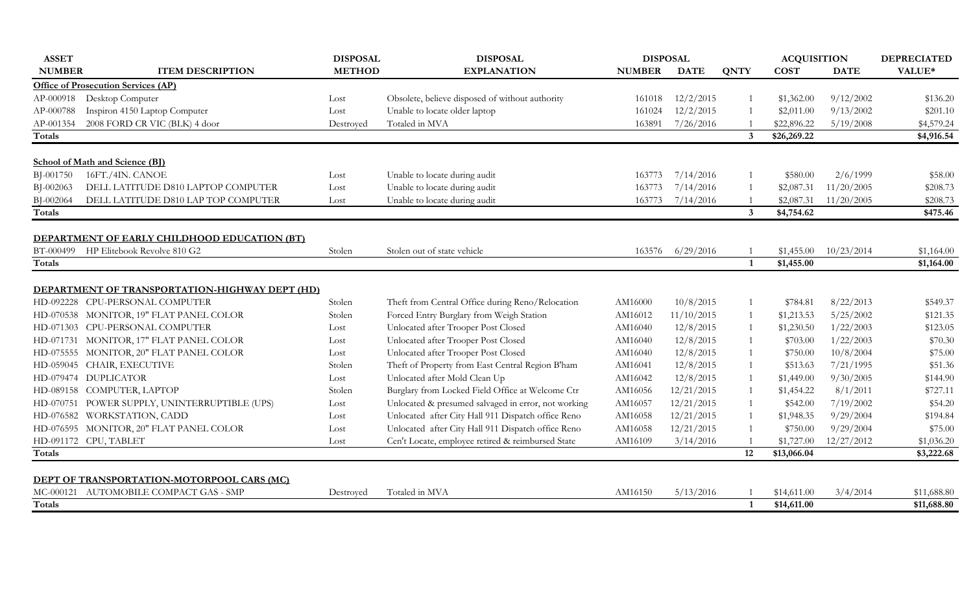| <b>ASSET</b>  |                                                | <b>DISPOSAL</b> | <b>DISPOSAL</b>                                     | <b>DISPOSAL</b> |             |                | <b>ACQUISITION</b> |             | <b>DEPRECIATED</b> |
|---------------|------------------------------------------------|-----------------|-----------------------------------------------------|-----------------|-------------|----------------|--------------------|-------------|--------------------|
| <b>NUMBER</b> | <b>ITEM DESCRIPTION</b>                        | <b>METHOD</b>   | <b>EXPLANATION</b>                                  | <b>NUMBER</b>   | <b>DATE</b> | <b>QNTY</b>    | <b>COST</b>        | <b>DATE</b> | VALUE*             |
|               | <b>Office of Prosecution Services (AP)</b>     |                 |                                                     |                 |             |                |                    |             |                    |
| AP-000918     | Desktop Computer                               | Lost            | Obsolete, believe disposed of without authority     | 161018          | 12/2/2015   |                | \$1,362.00         | 9/12/2002   | \$136.20           |
| AP-000788     | Inspiron 4150 Laptop Computer                  | Lost            | Unable to locate older laptop                       | 161024          | 12/2/2015   |                | \$2,011.00         | 9/13/2002   | \$201.10           |
| AP-001354     | 2008 FORD CR VIC (BLK) 4 door                  | Destroyed       | Totaled in MVA                                      | 163891          | 7/26/2016   |                | \$22,896.22        | 5/19/2008   | \$4,579.24         |
| Totals        |                                                |                 |                                                     |                 |             | $3^{\circ}$    | \$26,269.22        |             | \$4,916.54         |
|               | <b>School of Math and Science (BI)</b>         |                 |                                                     |                 |             |                |                    |             |                    |
| BJ-001750     | 16FT./4IN. CANOE                               | Lost            | Unable to locate during audit                       | 163773          | 7/14/2016   |                | \$580.00           | 2/6/1999    | \$58.00            |
| BJ-002063     | DELL LATITUDE D810 LAPTOP COMPUTER             | Lost            | Unable to locate during audit                       | 163773          | 7/14/2016   |                | \$2,087.31         | 11/20/2005  | \$208.73           |
| BJ-002064     | DELL LATITUDE D810 LAP TOP COMPUTER            | Lost            | Unable to locate during audit                       | 163773          | 7/14/2016   |                | \$2,087.31         | 11/20/2005  | \$208.73           |
| Totals        |                                                |                 |                                                     |                 |             | $\mathbf{3}$   | \$4,754.62         |             | \$475.46           |
|               | DEPARTMENT OF EARLY CHILDHOOD EDUCATION (BT)   |                 |                                                     |                 |             |                |                    |             |                    |
| BT-000499     | HP Elitebook Revolve 810 G2                    | Stolen          | Stolen out of state vehicle                         | 163576          | 6/29/2016   |                | \$1,455.00         | 10/23/2014  | \$1,164.00         |
| Totals        |                                                |                 |                                                     |                 |             | 1              | \$1,455.00         |             | \$1,164.00         |
|               |                                                |                 |                                                     |                 |             |                |                    |             |                    |
|               | DEPARTMENT OF TRANSPORTATION-HIGHWAY DEPT (HD) |                 |                                                     |                 |             |                |                    |             |                    |
|               | HD-092228 CPU-PERSONAL COMPUTER                | Stolen          | Theft from Central Office during Reno/Relocation    | AM16000         | 10/8/2015   | $\mathbf{1}$   | \$784.81           | 8/22/2013   | \$549.37           |
|               | HD-070538 MONITOR, 19" FLAT PANEL COLOR        | Stolen          | Forced Entry Burglary from Weigh Station            | AM16012         | 11/10/2015  | $\mathbf{1}$   | \$1,213.53         | 5/25/2002   | \$121.35           |
|               | HD-071303 CPU-PERSONAL COMPUTER                | Lost            | Unlocated after Trooper Post Closed                 | AM16040         | 12/8/2015   | $\overline{1}$ | \$1,230.50         | 1/22/2003   | \$123.05           |
|               | HD-071731 MONITOR, 17" FLAT PANEL COLOR        | Lost            | Unlocated after Trooper Post Closed                 | AM16040         | 12/8/2015   | $\overline{1}$ | \$703.00           | 1/22/2003   | \$70.30            |
|               | HD-075555 MONITOR, 20" FLAT PANEL COLOR        | Lost            | Unlocated after Trooper Post Closed                 | AM16040         | 12/8/2015   | 1              | \$750.00           | 10/8/2004   | \$75.00            |
|               | HD-059045 CHAIR, EXECUTIVE                     | Stolen          | Theft of Property from East Central Region B'ham    | AM16041         | 12/8/2015   | 1              | \$513.63           | 7/21/1995   | \$51.36            |
|               | HD-079474 DUPLICATOR                           | Lost            | Unlocated after Mold Clean Up                       | AM16042         | 12/8/2015   | -1             | \$1,449.00         | 9/30/2005   | \$144.90           |
|               | HD-089158 COMPUTER, LAPTOP                     | Stolen          | Burglary from Locked Field Office at Welcome Ctr    | AM16056         | 12/21/2015  | $\overline{1}$ | \$1,454.22         | 8/1/2011    | \$727.11           |
| HD-070751     | POWER SUPPLY, UNINTERRUPTIBLE (UPS)            | Lost            | Unlocated & presumed salvaged in error, not working | AM16057         | 12/21/2015  | $\overline{1}$ | \$542.00           | 7/19/2002   | \$54.20            |
|               | HD-076582 WORKSTATION, CADD                    | Lost            | Unlocated after City Hall 911 Dispatch office Reno  | AM16058         | 12/21/2015  | $\overline{1}$ | \$1,948.35         | 9/29/2004   | \$194.84           |
|               | HD-076595 MONITOR, 20" FLAT PANEL COLOR        | Lost            | Unlocated after City Hall 911 Dispatch office Reno  | AM16058         | 12/21/2015  |                | \$750.00           | 9/29/2004   | \$75.00            |
|               | HD-091172 CPU, TABLET                          | Lost            | Cen't Locate, employee retired & reimbursed State   | AM16109         | 3/14/2016   |                | \$1,727.00         | 12/27/2012  | \$1,036.20         |
| Totals        |                                                |                 |                                                     |                 |             | 12             | \$13,066.04        |             | \$3,222.68         |
|               |                                                |                 |                                                     |                 |             |                |                    |             |                    |
|               | DEPT OF TRANSPORTATION-MOTORPOOL CARS (MC)     |                 |                                                     |                 |             |                |                    |             |                    |
|               | MC-000121 AUTOMOBILE COMPACT GAS - SMP         | Destroyed       | Totaled in MVA                                      | AM16150         | 5/13/2016   |                | \$14,611.00        | 3/4/2014    | \$11,688.80        |
| <b>Totals</b> |                                                |                 |                                                     |                 |             | 1              | \$14,611.00        |             | \$11,688.80        |
|               |                                                |                 |                                                     |                 |             |                |                    |             |                    |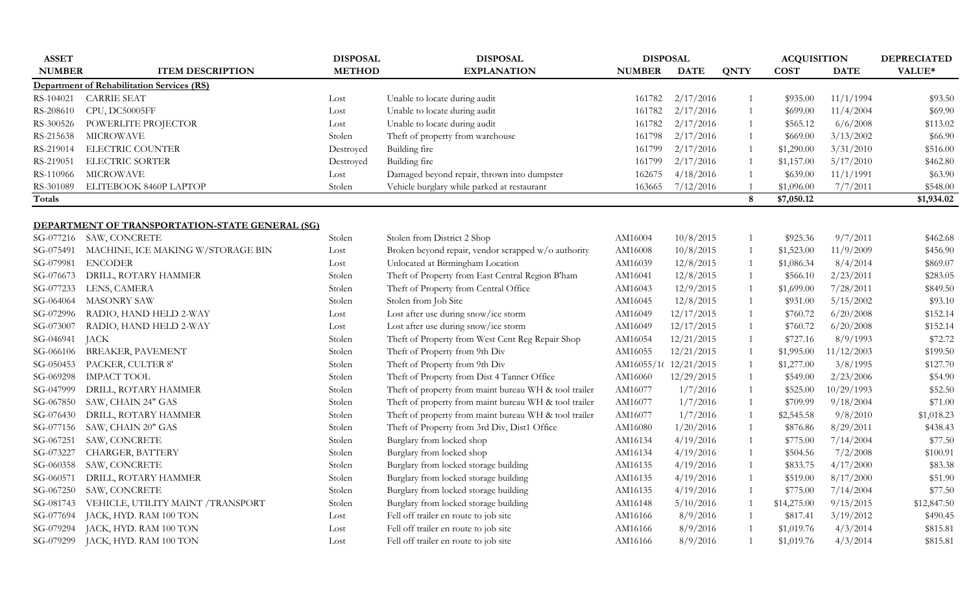| <b>ASSET</b>  |                                                   | <b>DISPOSAL</b> | <b>DISPOSAL</b>                                       | <b>DISPOSAL</b>      |             |                | <b>ACQUISITION</b> |             | <b>DEPRECIATED</b> |
|---------------|---------------------------------------------------|-----------------|-------------------------------------------------------|----------------------|-------------|----------------|--------------------|-------------|--------------------|
| <b>NUMBER</b> | <b>ITEM DESCRIPTION</b>                           | <b>METHOD</b>   | <b>EXPLANATION</b>                                    | <b>NUMBER</b>        | <b>DATE</b> | <b>QNTY</b>    | <b>COST</b>        | <b>DATE</b> | VALUE*             |
|               | <b>Department of Rehabilitation Services (RS)</b> |                 |                                                       |                      |             |                |                    |             |                    |
| RS-104021     | <b>CARRIE SEAT</b>                                | Lost            | Unable to locate during audit                         | 161782               | 2/17/2016   | $\mathbf{1}$   | \$935.00           | 11/1/1994   | \$93.50            |
| RS-208610     | CPU, DC50005FF                                    | Lost            | Unable to locate during audit                         | 161782               | 2/17/2016   | 1              | \$699.00           | 11/4/2004   | \$69.90            |
| RS-300526     | POWERLITE PROJECTOR                               | Lost            | Unable to locate during audit                         | 161782               | 2/17/2016   | 1              | \$565.12           | 6/6/2008    | \$113.02           |
| RS-215638     | <b>MICROWAVE</b>                                  | Stolen          | Theft of property from warehouse                      | 161798               | 2/17/2016   | -1             | \$669.00           | 3/13/2002   | \$66.90            |
| RS-219014     | ELECTRIC COUNTER                                  | Destroyed       | Building fire                                         | 161799               | 2/17/2016   | $\overline{1}$ | \$1,290.00         | 3/31/2010   | \$516.00           |
| RS-219051     | ELECTRIC SORTER                                   | Destroyed       | Building fire                                         | 161799               | 2/17/2016   | 1              | \$1,157.00         | 5/17/2010   | \$462.80           |
| RS-110966     | <b>MICROWAVE</b>                                  | Lost            | Damaged beyond repair, thrown into dumpster           | 162675               | 4/18/2016   | 1              | \$639.00           | 11/1/1991   | \$63.90            |
| RS-301089     | ELITEBOOK 8460P LAPTOP                            | Stolen          | Vehicle burglary while parked at restaurant           | 163665               | 7/12/2016   | $\overline{1}$ | \$1,096.00         | 7/7/2011    | \$548.00           |
| Totals        |                                                   |                 |                                                       |                      |             | 8              | \$7,050.12         |             | \$1,934.02         |
|               |                                                   |                 |                                                       |                      |             |                |                    |             |                    |
|               | DEPARTMENT OF TRANSPORTATION-STATE GENERAL (SG)   |                 |                                                       |                      |             |                |                    |             |                    |
|               | SG-077216 SAW, CONCRETE                           | Stolen          | Stolen from District 2 Shop                           | AM16004              | 10/8/2015   | -1             | \$925.36           | 9/7/2011    | \$462.68           |
| SG-075491     | MACHINE, ICE MAKING W/STORAGE BIN                 | Lost            | Broken beyond repair, vendor scrapped w/o authority   | AM16008              | 10/8/2015   | $\overline{1}$ | \$1,523.00         | 11/9/2009   | \$456.90           |
| SG-079981     | <b>ENCODER</b>                                    | Lost            | Unlocated at Birmingham Location                      | AM16039              | 12/8/2015   | 1              | \$1,086.34         | 8/4/2014    | \$869.07           |
| SG-076673     | DRILL, ROTARY HAMMER                              | Stolen          | Theft of Property from East Central Region B'ham      | AM16041              | 12/8/2015   | 1              | \$566.10           | 2/23/2011   | \$283.05           |
| SG-077233     | LENS, CAMERA                                      | Stolen          | Theft of Property from Central Office                 | AM16043              | 12/9/2015   | 1              | \$1,699.00         | 7/28/2011   | \$849.50           |
| SG-064064     | <b>MASONRY SAW</b>                                | Stolen          | Stolen from Job Site                                  | AM16045              | 12/8/2015   | -1             | \$931.00           | 5/15/2002   | \$93.10            |
| SG-072996     | RADIO, HAND HELD 2-WAY                            | Lost            | Lost after use during snow/ice storm                  | AM16049              | 12/17/2015  | 1              | \$760.72           | 6/20/2008   | \$152.14           |
| SG-073007     | RADIO, HAND HELD 2-WAY                            | Lost            | Lost after use during snow/ice storm                  | AM16049              | 12/17/2015  | 1              | \$760.72           | 6/20/2008   | \$152.14           |
| SG-046941     | <b>JACK</b>                                       | Stolen          | Theft of Property from West Cent Reg Repair Shop      | AM16054              | 12/21/2015  | 1              | \$727.16           | 8/9/1993    | \$72.72            |
| SG-066106     | <b>BREAKER, PAVEMENT</b>                          | Stolen          | Theft of Property from 9th Div                        | AM16055              | 12/21/2015  | 1              | \$1,995.00         | 11/12/2003  | \$199.50           |
| SG-050453     | PACKER, CULTER 8'                                 | Stolen          | Theft of Property from 9th Div                        | AM16055/1(12/21/2015 |             | 1              | \$1,277.00         | 3/8/1995    | \$127.70           |
| SG-069298     | <b>IMPACT TOOL</b>                                | Stolen          | Theft of Property from Dist 4 Tanner Office           | AM16060              | 12/29/2015  | -1             | \$549.00           | 2/23/2006   | \$54.90            |
| SG-047999     | DRILL, ROTARY HAMMER                              | Stolen          | Theft of property from maint bureau WH & tool trailer | AM16077              | 1/7/2016    | 1              | \$525.00           | 10/29/1993  | \$52.50            |
| SG-067850     | SAW, CHAIN 24" GAS                                | Stolen          | Theft of property from maint bureau WH & tool trailer | AM16077              | 1/7/2016    | $\mathbf{1}$   | \$709.99           | 9/18/2004   | \$71.00            |
| SG-076430     | DRILL, ROTARY HAMMER                              | Stolen          | Theft of property from maint bureau WH & tool trailer | AM16077              | 1/7/2016    | $\mathbf{1}$   | \$2,545.58         | 9/8/2010    | \$1,018.23         |
| SG-077156     | SAW, CHAIN 20" GAS                                | Stolen          | Theft of Property from 3rd Div, Dist1 Office          | AM16080              | 1/20/2016   | 1              | \$876.86           | 8/29/2011   | \$438.43           |
| SG-067251     | SAW, CONCRETE                                     | Stolen          | Burglary from locked shop                             | AM16134              | 4/19/2016   | -1             | \$775.00           | 7/14/2004   | \$77.50            |
| SG-073227     | CHARGER, BATTERY                                  | Stolen          | Burglary from locked shop                             | AM16134              | 4/19/2016   | 1              | \$504.56           | 7/2/2008    | \$100.91           |
| SG-060358     | SAW, CONCRETE                                     | Stolen          | Burglary from locked storage building                 | AM16135              | 4/19/2016   | 1              | \$833.75           | 4/17/2000   | \$83.38            |
| SG-060571     | DRILL, ROTARY HAMMER                              | Stolen          | Burglary from locked storage building                 | AM16135              | 4/19/2016   | 1              | \$519.00           | 8/17/2000   | \$51.90            |
| SG-067250     | SAW, CONCRETE                                     | Stolen          | Burglary from locked storage building                 | AM16135              | 4/19/2016   | 1              | \$775.00           | 7/14/2004   | \$77.50            |
| SG-081743     | VEHICLE, UTILITY MAINT /TRANSPORT                 | Stolen          | Burglary from locked storage building                 | AM16148              | 5/10/2016   | 1              | \$14,275.00        | 9/15/2015   | \$12,847.50        |
| SG-077694     | JACK, HYD. RAM 100 TON                            | Lost            | Fell off trailer en route to job site                 | AM16166              | 8/9/2016    | $\overline{1}$ | \$817.41           | 3/19/2012   | \$490.45           |
| SG-079294     | JACK, HYD. RAM 100 TON                            | Lost            | Fell off trailer en route to job site                 | AM16166              | 8/9/2016    | $\overline{1}$ | \$1,019.76         | 4/3/2014    | \$815.81           |
| SG-079299     | JACK, HYD. RAM 100 TON                            | Lost            | Fell off trailer en route to job site                 | AM16166              | 8/9/2016    | $\mathbf{1}$   | \$1,019.76         | 4/3/2014    | \$815.81           |